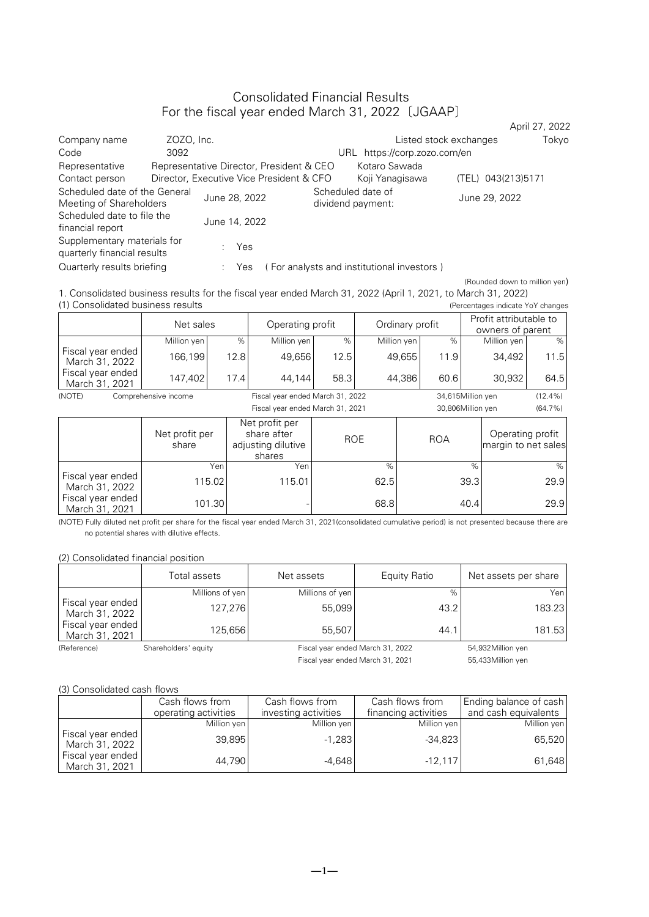## Consolidated Financial Results For the fiscal year ended March 31, 2022〔JGAAP〕

|                                                            |            |                                          |                                          |                                            |                        | April 27, 2022 |
|------------------------------------------------------------|------------|------------------------------------------|------------------------------------------|--------------------------------------------|------------------------|----------------|
| Company name                                               | ZOZO, Inc. |                                          |                                          |                                            | Listed stock exchanges | Tokyo          |
| Code                                                       | 3092       |                                          |                                          | https://corp.zozo.com/en<br>URL            |                        |                |
| Representative                                             |            |                                          | Representative Director, President & CEO | Kotaro Sawada                              |                        |                |
| Contact person                                             |            | Director, Executive Vice President & CFO |                                          | Koji Yanagisawa                            | (TEL) 043(213)5171     |                |
| Scheduled date of the General<br>Meeting of Shareholders   |            | June 28, 2022                            |                                          | Scheduled date of<br>dividend payment:     | June 29, 2022          |                |
| Scheduled date to file the<br>financial report             |            | June 14, 2022                            |                                          |                                            |                        |                |
| Supplementary materials for<br>quarterly financial results |            | Yes                                      |                                          |                                            |                        |                |
| Quarterly results briefing                                 |            | Yes                                      |                                          | (For analysts and institutional investors) |                        |                |

(Rounded down to million yen) 1. Consolidated business results for the fiscal year ended March 31, 2022 (April 1, 2021, to March 31, 2022) (1) Consolidated business results (Percentages indicate YoY changes

|                                     | Net sales               |      |                                                               | Operating profit |            |                   | Ordinary profit   |               |                                         | Profit attributable to<br>owners of parent |  |
|-------------------------------------|-------------------------|------|---------------------------------------------------------------|------------------|------------|-------------------|-------------------|---------------|-----------------------------------------|--------------------------------------------|--|
|                                     | Million yen             | $\%$ | Million yen                                                   | $\%$             |            | Million yen       | $\%$              |               | Million yen                             | %                                          |  |
| Fiscal year ended<br>March 31, 2022 | 166,199                 | 12.8 | 49,656                                                        | 12.5             |            | 49,655            | 11.9              |               | 34,492                                  | 11.5                                       |  |
| Fiscal year ended<br>March 31, 2021 | 147,402                 | 17.4 | 44,144                                                        | 58.3             | 44,386     |                   | 60.6              |               | 30,932                                  | 64.5                                       |  |
| (NOTE)                              | Comprehensive income    |      | Fiscal year ended March 31, 2022                              |                  |            |                   | 34,615Million yen |               |                                         | $(12.4\%)$                                 |  |
|                                     |                         |      | Fiscal year ended March 31, 2021                              |                  |            | 30,806Million yen |                   |               | $(64.7\%)$                              |                                            |  |
|                                     | Net profit per<br>share |      | Net profit per<br>share after<br>adjusting dilutive<br>shares |                  | <b>ROE</b> |                   | <b>ROA</b>        |               | Operating profit<br>margin to net sales |                                            |  |
|                                     | Yen                     |      | Yen                                                           |                  | $\%$       |                   |                   | $\frac{1}{2}$ |                                         | %                                          |  |
| Fiscal year ended<br>March 31, 2022 | 115.02                  |      | 115.01                                                        |                  | 62.5       |                   |                   | 39.3          |                                         | 29.9                                       |  |
| Fiscal year ended<br>March 31, 2021 | 101.30                  |      |                                                               |                  | 68.8       |                   |                   | 40.4          |                                         | 29.9                                       |  |

(NOTE) Fully diluted net profit per share for the fiscal year ended March 31, 2021(consolidated cumulative period) is not presented because there are no potential shares with dilutive effects.

(2) Consolidated financial position

|                                     | Total assets         | Net assets      | Equity Ratio                     | Net assets per share |
|-------------------------------------|----------------------|-----------------|----------------------------------|----------------------|
|                                     | Millions of yen      | Millions of yen | $\%$                             | Yen                  |
| Fiscal year ended<br>March 31, 2022 | 127,276              | 55,099          | 43.2                             | 183.23               |
| Fiscal year ended<br>March 31, 2021 | 125.656              | 55.507          | 44.1                             | 181.53               |
| (Reference)                         | Shareholders' equity |                 | Fiscal year ended March 31, 2022 | 54,932Million yen    |

Fiscal year ended March 31, 2021 55,433Million yen

#### (3) Consolidated cash flows

|                                     | Cash flows from      | Cash flows from      | Cash flows from      | Ending balance of cash |
|-------------------------------------|----------------------|----------------------|----------------------|------------------------|
|                                     | operating activities | investing activities | financing activities | and cash equivalents   |
|                                     | Million yen          | Million yen          | Million yen          | Million yen            |
| Fiscal year ended<br>March 31, 2022 | 39,895               | $-1.283$             | $-34,823$            | 65,520                 |
| Fiscal year ended<br>March 31, 2021 | 44.790               | $-4.648$             | $-12.117$            | 61,648                 |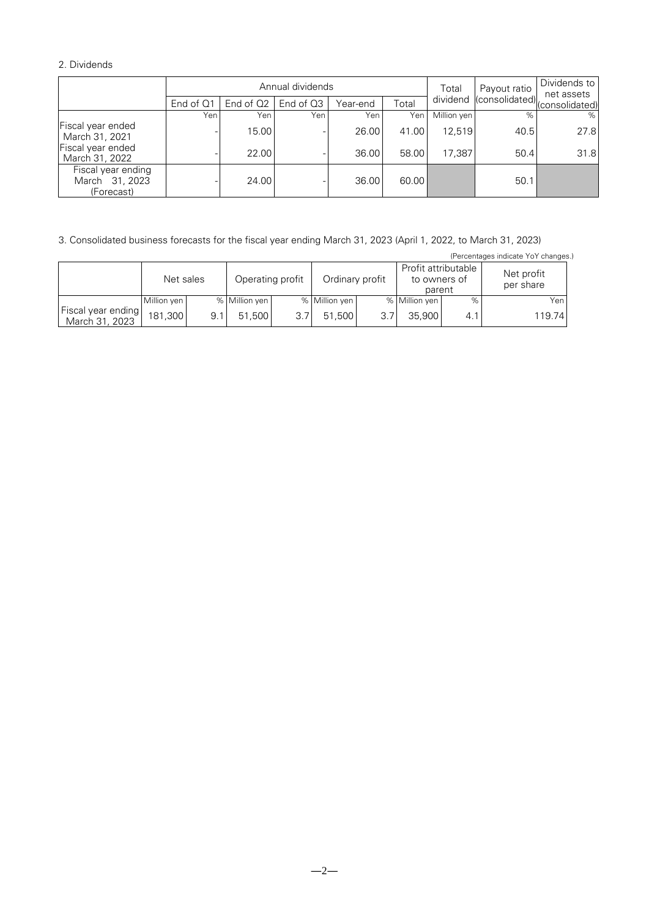## 2. Dividends

|                                                    |           |             | Annual dividends | Payout ratio<br>Total |       | Dividends to<br>net assets |                                        |      |
|----------------------------------------------------|-----------|-------------|------------------|-----------------------|-------|----------------------------|----------------------------------------|------|
|                                                    | End of Q1 | End of $Q2$ | End of Q3        | Year-end              | Total |                            | dividend (consolidated) (consolidated) |      |
|                                                    | Yen       | Yen         | Yen              | Yen                   | Yen   | Million yen                | $\%$                                   | %    |
| Fiscal year ended<br>March 31, 2021                |           | 15.00       |                  | 26.00                 | 41.00 | 12.519                     | 40.5                                   | 27.8 |
| Fiscal year ended<br>March 31, 2022                |           | 22.00       |                  | 36.00                 | 58.00 | 17.387                     | 50.4                                   | 31.8 |
| Fiscal year ending<br>March 31, 2023<br>(Forecast) |           | 24.00       |                  | 36.00                 | 60.00 |                            | 50.1                                   |      |

3. Consolidated business forecasts for the fiscal year ending March 31, 2023 (April 1, 2022, to March 31, 2023)

|                                      | (Percentages indicate YoY changes.) |     |                  |      |                 |     |                                               |     |                         |  |
|--------------------------------------|-------------------------------------|-----|------------------|------|-----------------|-----|-----------------------------------------------|-----|-------------------------|--|
|                                      | Net sales                           |     | Operating profit |      | Ordinary profit |     | Profit attributable<br>to owners of<br>parent |     | Net profit<br>per share |  |
|                                      | Million yen                         |     | % Million yen    |      | % Million yen   |     | % Million yen                                 | %   | Yen                     |  |
| Fiscal year ending<br>March 31, 2023 | 181.300                             | 9.1 | 51.500           | 3.71 | 51.500          | 3.7 | 35,900                                        | 4.1 | 119.74                  |  |

 $-2-$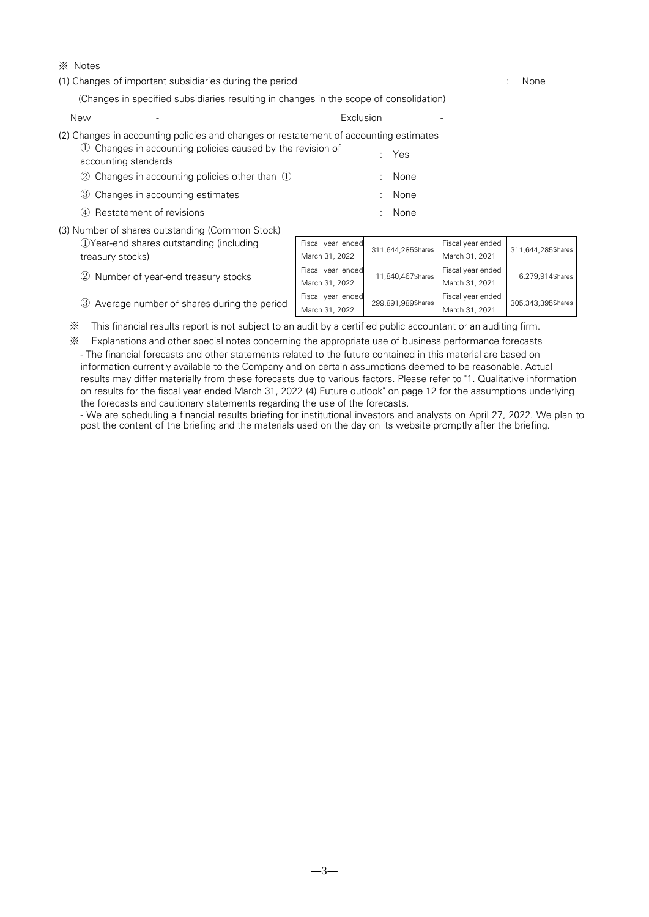### ※ Notes

(1) Changes of important subsidiaries during the period : None

(Changes in specified subsidiaries resulting in changes in the scope of consolidation)

| New |                                                                                                                                                      | Exclusion                   |             |
|-----|------------------------------------------------------------------------------------------------------------------------------------------------------|-----------------------------|-------------|
|     | (2) Changes in accounting policies and changes or restatement of accounting estimates<br>1) Changes in accounting policies caused by the revision of |                             |             |
|     | accounting standards                                                                                                                                 |                             | : Yes       |
|     | $\oslash$ Changes in accounting policies other than $\oslash$                                                                                        |                             | <b>None</b> |
|     | 3 Changes in accounting estimates                                                                                                                    | ÷.                          | None        |
|     | 4 Restatement of revisions                                                                                                                           | $\mathcal{F}^{\mathcal{F}}$ | None        |
|     | (3) Number of shares outstanding (Common Stock)                                                                                                      |                             |             |

| <b>OYear-end shares outstanding (including</b> |                                              | Fiscal year ended | 311,644,285Shares | Fiscal year ended | 311,644,285Shares |  |
|------------------------------------------------|----------------------------------------------|-------------------|-------------------|-------------------|-------------------|--|
|                                                | treasury stocks)                             | March 31, 2022    |                   | March 31, 2021    |                   |  |
|                                                | 2 Number of year-end treasury stocks         | Fiscal year ended | 11,840,467Shares  | Fiscal year ended | 6.279.914Shares   |  |
|                                                |                                              | March 31, 2022    |                   | March 31, 2021    |                   |  |
|                                                |                                              | Fiscal year ended | 299,891,989Shares | Fiscal year ended | 305,343,395Shares |  |
|                                                | 3 Average number of shares during the period | March 31, 2022    |                   | March 31, 2021    |                   |  |

※ This financial results report is not subject to an audit by a certified public accountant or an auditing firm.

※ Explanations and other special notes concerning the appropriate use of business performance forecasts

- The financial forecasts and other statements related to the future contained in this material are based on information currently available to the Company and on certain assumptions deemed to be reasonable. Actual results may differ materially from these forecasts due to various factors. Please refer to "1. Qualitative information on results for the fiscal year ended March 31, 2022 (4) Future outlook" on page 12 for the assumptions underlying the forecasts and cautionary statements regarding the use of the forecasts.

- We are scheduling a financial results briefing for institutional investors and analysts on April 27, 2022. We plan to post the content of the briefing and the materials used on the day on its website promptly after the briefing.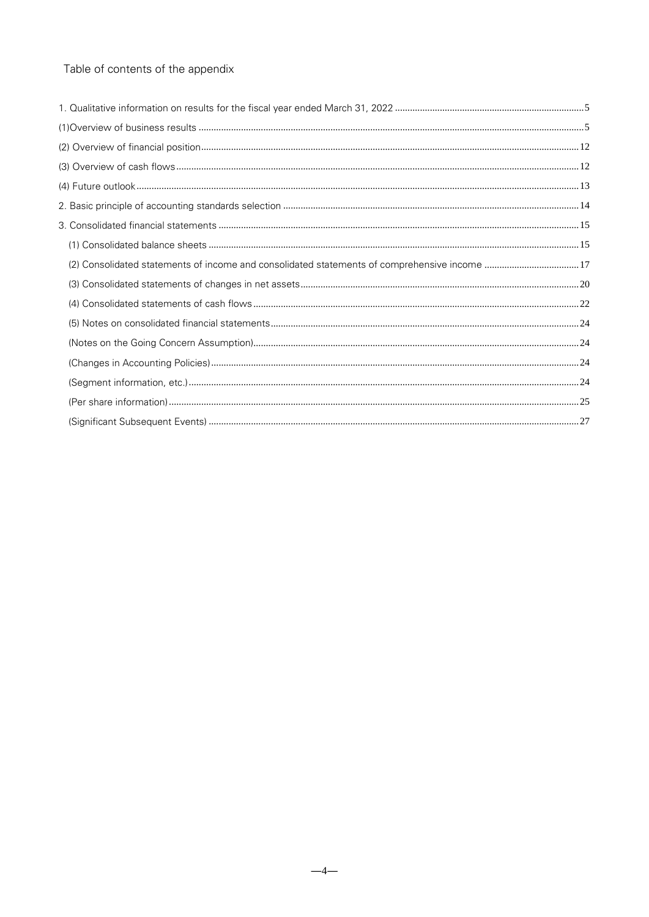# Table of contents of the appendix

| (2) Consolidated statements of income and consolidated statements of comprehensive income 17 |
|----------------------------------------------------------------------------------------------|
|                                                                                              |
|                                                                                              |
|                                                                                              |
|                                                                                              |
|                                                                                              |
|                                                                                              |
|                                                                                              |
|                                                                                              |
|                                                                                              |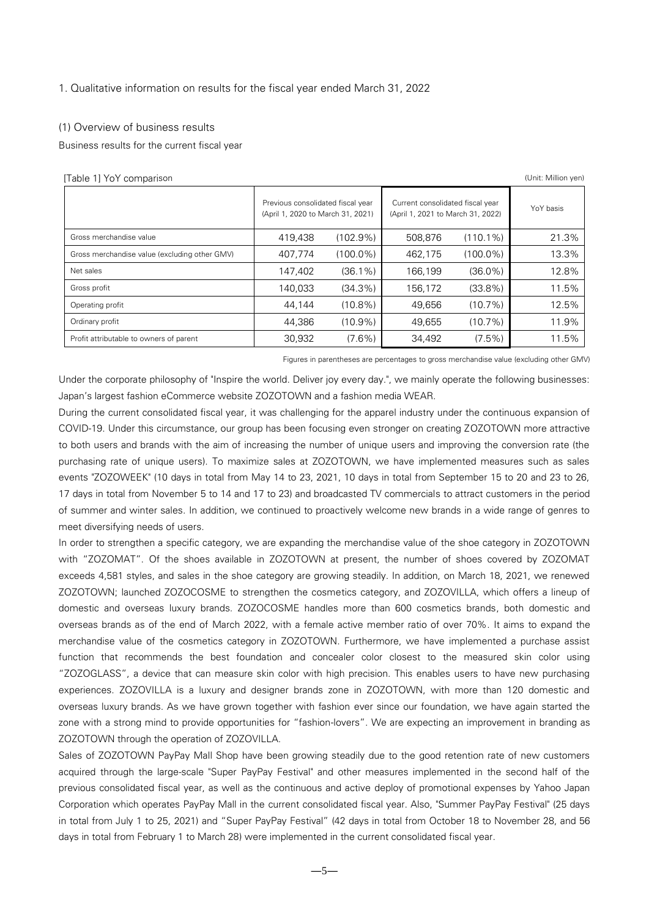#### <span id="page-4-0"></span>1. Qualitative information on results for the fiscal year ended March 31, 2022

#### <span id="page-4-1"></span>(1) Overview of business results

Business results for the current fiscal year

| [Table 1] YoY comparison                      |                                                                                                                                                 |             |         |             |           |  |  |
|-----------------------------------------------|-------------------------------------------------------------------------------------------------------------------------------------------------|-------------|---------|-------------|-----------|--|--|
|                                               | Previous consolidated fiscal year<br>Current consolidated fiscal year<br>(April 1, 2020 to March 31, 2021)<br>(April 1, 2021 to March 31, 2022) |             |         |             | YoY basis |  |  |
| Gross merchandise value                       | 419,438                                                                                                                                         | $(102.9\%)$ | 508,876 | $(110.1\%)$ | 21.3%     |  |  |
| Gross merchandise value (excluding other GMV) | 407,774                                                                                                                                         | $(100.0\%)$ | 462.175 | $(100.0\%)$ | 13.3%     |  |  |
| Net sales                                     | 147,402                                                                                                                                         | $(36.1\%)$  | 166.199 | $(36.0\%)$  | 12.8%     |  |  |
| Gross profit                                  | 140,033                                                                                                                                         | $(34.3\%)$  | 156.172 | $(33.8\%)$  | 11.5%     |  |  |
| Operating profit                              | 44.144                                                                                                                                          | $(10.8\%)$  | 49.656  | (10.7%)     | 12.5%     |  |  |
| Ordinary profit                               | 44,386                                                                                                                                          | $(10.9\%)$  | 49,655  | (10.7%)     | 11.9%     |  |  |
| Profit attributable to owners of parent       | 30,932                                                                                                                                          | $(7.6\%)$   | 34,492  | $(7.5\%)$   | 11.5%     |  |  |

Figures in parentheses are percentages to gross merchandise value (excluding other GMV)

Under the corporate philosophy of "Inspire the world. Deliver joy every day.", we mainly operate the following businesses: Japan's largest fashion eCommerce website ZOZOTOWN and a fashion media WEAR.

During the current consolidated fiscal year, it was challenging for the apparel industry under the continuous expansion of COVID-19. Under this circumstance, our group has been focusing even stronger on creating ZOZOTOWN more attractive to both users and brands with the aim of increasing the number of unique users and improving the conversion rate (the purchasing rate of unique users). To maximize sales at ZOZOTOWN, we have implemented measures such as sales events "ZOZOWEEK" (10 days in total from May 14 to 23, 2021, 10 days in total from September 15 to 20 and 23 to 26, 17 days in total from November 5 to 14 and 17 to 23) and broadcasted TV commercials to attract customers in the period of summer and winter sales. In addition, we continued to proactively welcome new brands in a wide range of genres to meet diversifying needs of users.

In order to strengthen a specific category, we are expanding the merchandise value of the shoe category in ZOZOTOWN with "ZOZOMAT". Of the shoes available in ZOZOTOWN at present, the number of shoes covered by ZOZOMAT exceeds 4,581 styles, and sales in the shoe category are growing steadily. In addition, on March 18, 2021, we renewed ZOZOTOWN; launched ZOZOCOSME to strengthen the cosmetics category, and ZOZOVILLA, which offers a lineup of domestic and overseas luxury brands. ZOZOCOSME handles more than 600 cosmetics brands, both domestic and overseas brands as of the end of March 2022, with a female active member ratio of over 70%. It aims to expand the merchandise value of the cosmetics category in ZOZOTOWN. Furthermore, we have implemented a purchase assist function that recommends the best foundation and concealer color closest to the measured skin color using "ZOZOGLASS", a device that can measure skin color with high precision. This enables users to have new purchasing experiences. ZOZOVILLA is a luxury and designer brands zone in ZOZOTOWN, with more than 120 domestic and overseas luxury brands. As we have grown together with fashion ever since our foundation, we have again started the zone with a strong mind to provide opportunities for "fashion-lovers". We are expecting an improvement in branding as ZOZOTOWN through the operation of ZOZOVILLA.

Sales of ZOZOTOWN PayPay Mall Shop have been growing steadily due to the good retention rate of new customers acquired through the large-scale "Super PayPay Festival" and other measures implemented in the second half of the previous consolidated fiscal year, as well as the continuous and active deploy of promotional expenses by Yahoo Japan Corporation which operates PayPay Mall in the current consolidated fiscal year. Also, "Summer PayPay Festival" (25 days in total from July 1 to 25, 2021) and "Super PayPay Festival" (42 days in total from October 18 to November 28, and 56 days in total from February 1 to March 28) were implemented in the current consolidated fiscal year.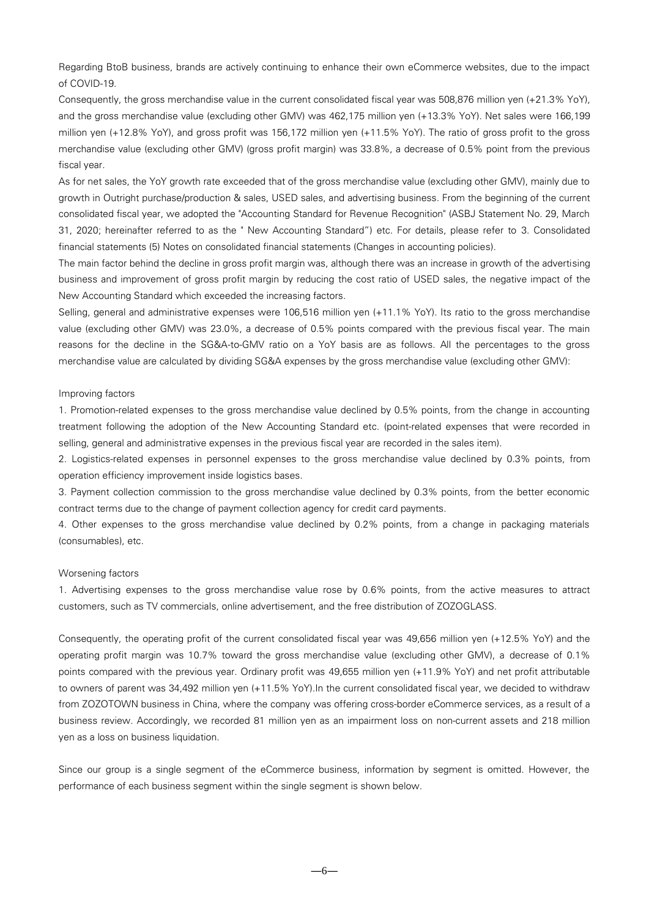Regarding BtoB business, brands are actively continuing to enhance their own eCommerce websites, due to the impact of COVID-19.

Consequently, the gross merchandise value in the current consolidated fiscal year was 508,876 million yen (+21.3% YoY), and the gross merchandise value (excluding other GMV) was 462,175 million yen (+13.3% YoY). Net sales were 166,199 million yen (+12.8% YoY), and gross profit was 156,172 million yen (+11.5% YoY). The ratio of gross profit to the gross merchandise value (excluding other GMV) (gross profit margin) was 33.8%, a decrease of 0.5% point from the previous fiscal year.

As for net sales, the YoY growth rate exceeded that of the gross merchandise value (excluding other GMV), mainly due to growth in Outright purchase/production & sales, USED sales, and advertising business. From the beginning of the current consolidated fiscal year, we adopted the "Accounting Standard for Revenue Recognition" (ASBJ Statement No. 29, March 31, 2020; hereinafter referred to as the " New Accounting Standard") etc. For details, please refer to 3. Consolidated financial statements (5) Notes on consolidated financial statements (Changes in accounting policies).

The main factor behind the decline in gross profit margin was, although there was an increase in growth of the advertising business and improvement of gross profit margin by reducing the cost ratio of USED sales, the negative impact of the New Accounting Standard which exceeded the increasing factors.

Selling, general and administrative expenses were 106,516 million yen (+11.1% YoY). Its ratio to the gross merchandise value (excluding other GMV) was 23.0%, a decrease of 0.5% points compared with the previous fiscal year. The main reasons for the decline in the SG&A-to-GMV ratio on a YoY basis are as follows. All the percentages to the gross merchandise value are calculated by dividing SG&A expenses by the gross merchandise value (excluding other GMV):

#### Improving factors

1. Promotion-related expenses to the gross merchandise value declined by 0.5% points, from the change in accounting treatment following the adoption of the New Accounting Standard etc. (point-related expenses that were recorded in selling, general and administrative expenses in the previous fiscal year are recorded in the sales item).

2. Logistics-related expenses in personnel expenses to the gross merchandise value declined by 0.3% points, from operation efficiency improvement inside logistics bases.

3. Payment collection commission to the gross merchandise value declined by 0.3% points, from the better economic contract terms due to the change of payment collection agency for credit card payments.

4. Other expenses to the gross merchandise value declined by 0.2% points, from a change in packaging materials (consumables), etc.

#### Worsening factors

1. Advertising expenses to the gross merchandise value rose by 0.6% points, from the active measures to attract customers, such as TV commercials, online advertisement, and the free distribution of ZOZOGLASS.

Consequently, the operating profit of the current consolidated fiscal year was 49,656 million yen (+12.5% YoY) and the operating profit margin was 10.7% toward the gross merchandise value (excluding other GMV), a decrease of 0.1% points compared with the previous year. Ordinary profit was 49,655 million yen (+11.9% YoY) and net profit attributable to owners of parent was 34,492 million yen (+11.5% YoY).In the current consolidated fiscal year, we decided to withdraw from ZOZOTOWN business in China, where the company was offering cross-border eCommerce services, as a result of a business review. Accordingly, we recorded 81 million yen as an impairment loss on non-current assets and 218 million yen as a loss on business liquidation.

Since our group is a single segment of the eCommerce business, information by segment is omitted. However, the performance of each business segment within the single segment is shown below.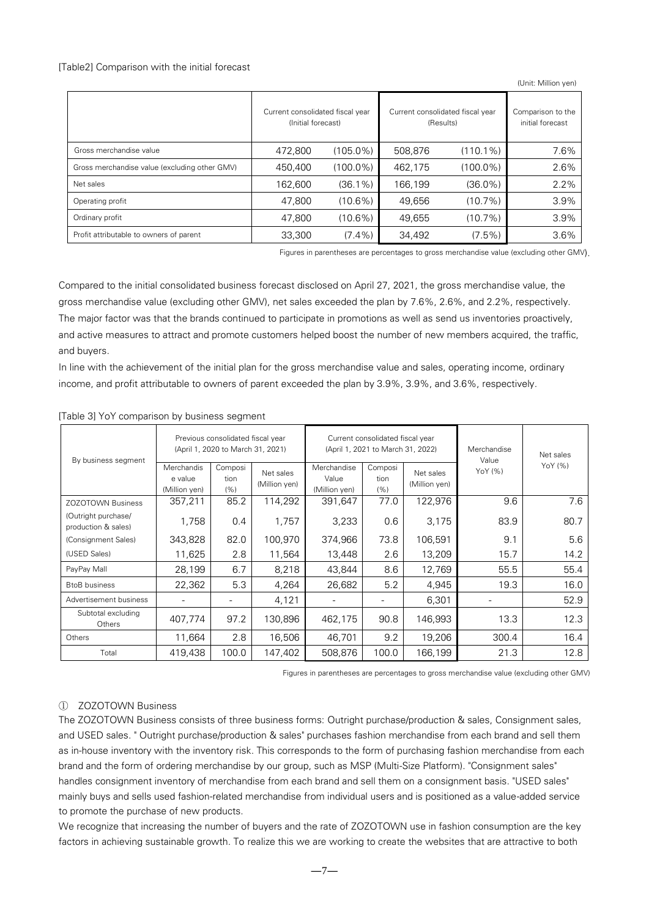#### [Table2] Comparison with the initial forecast

(Unit: Million yen)

|                                               | Current consolidated fiscal year<br>(Initial forecast) |             | Current consolidated fiscal year<br>(Results) | Comparison to the<br>initial forecast |      |
|-----------------------------------------------|--------------------------------------------------------|-------------|-----------------------------------------------|---------------------------------------|------|
| Gross merchandise value                       | 472.800                                                | $(105.0\%)$ | 508.876                                       | $(110.1\%)$                           | 7.6% |
| Gross merchandise value (excluding other GMV) | 450,400                                                | $(100.0\%)$ | 462,175                                       | $(100.0\%)$                           | 2.6% |
| Net sales                                     | 162.600                                                | $(36.1\%)$  | 166,199                                       | $(36.0\%)$                            | 2.2% |
| Operating profit                              | 47.800                                                 | $(10.6\%)$  | 49.656                                        | $(10.7\%)$                            | 3.9% |
| Ordinary profit                               | 47.800                                                 | $(10.6\%)$  | 49.655                                        | $(10.7\%)$                            | 3.9% |
| Profit attributable to owners of parent       | 33,300                                                 | $(7.4\%)$   | 34,492                                        | $(7.5\%)$                             | 3.6% |

Figures in parentheses are percentages to gross merchandise value (excluding other GMV).

Compared to the initial consolidated business forecast disclosed on April 27, 2021, the gross merchandise value, the gross merchandise value (excluding other GMV), net sales exceeded the plan by 7.6%, 2.6%, and 2.2%, respectively. The major factor was that the brands continued to participate in promotions as well as send us inventories proactively, and active measures to attract and promote customers helped boost the number of new members acquired, the traffic, and buyers.

In line with the achievement of the initial plan for the gross merchandise value and sales, operating income, ordinary income, and profit attributable to owners of parent exceeded the plan by 3.9%, 3.9%, and 3.6%, respectively.

| By business segment                        |                                               | Previous consolidated fiscal year<br>(April 1, 2020 to March 31, 2021) |                            |                                       | Current consolidated fiscal year<br>(April 1, 2021 to March 31, 2022) |                            | Merchandise<br>Value | Net sales |
|--------------------------------------------|-----------------------------------------------|------------------------------------------------------------------------|----------------------------|---------------------------------------|-----------------------------------------------------------------------|----------------------------|----------------------|-----------|
|                                            | <b>Merchandis</b><br>e value<br>(Million yen) | Composi<br>tion<br>(% )                                                | Net sales<br>(Million yen) | Merchandise<br>Value<br>(Million yen) | Composi<br>tion<br>(% )                                               | Net sales<br>(Million yen) | YoY (%)              | YoY (%)   |
| <b>ZOZOTOWN Business</b>                   | 357,211                                       | 85.2                                                                   | 114,292                    | 391,647                               | 77.0                                                                  | 122,976                    | 9.6                  | 7.6       |
| (Outright purchase/<br>production & sales) | 1,758                                         | 0.4                                                                    | 1,757                      | 3,233                                 | 0.6                                                                   | 3,175                      | 83.9                 | 80.7      |
| (Consignment Sales)                        | 343,828                                       | 82.0                                                                   | 100,970                    | 374,966                               | 73.8                                                                  | 106,591                    | 9.1                  | 5.6       |
| (USED Sales)                               | 11,625                                        | 2.8                                                                    | 11,564                     | 13,448                                | 2.6                                                                   | 13,209                     | 15.7                 | 14.2      |
| PayPay Mall                                | 28,199                                        | 6.7                                                                    | 8,218                      | 43,844                                | 8.6                                                                   | 12,769                     | 55.5                 | 55.4      |
| <b>BtoB</b> business                       | 22,362                                        | 5.3                                                                    | 4,264                      | 26,682                                | 5.2                                                                   | 4,945                      | 19.3                 | 16.0      |
| Advertisement business                     |                                               |                                                                        | 4,121                      |                                       |                                                                       | 6,301                      |                      | 52.9      |
| Subtotal excluding<br>Others               | 407,774                                       | 97.2                                                                   | 130,896                    | 462,175                               | 90.8                                                                  | 146,993                    | 13.3                 | 12.3      |
| Others                                     | 11,664                                        | 2.8                                                                    | 16,506                     | 46,701                                | 9.2                                                                   | 19,206                     | 300.4                | 16.4      |
| Total                                      | 419,438                                       | 100.0                                                                  | 147,402                    | 508,876                               | 100.0                                                                 | 166,199                    | 21.3                 | 12.8      |

#### [Table 3] YoY comparison by business segment

Figures in parentheses are percentages to gross merchandise value (excluding other GMV)

## ① ZOZOTOWN Business

The ZOZOTOWN Business consists of three business forms: Outright purchase/production & sales, Consignment sales, and USED sales. " Outright purchase/production & sales" purchases fashion merchandise from each brand and sell them as in-house inventory with the inventory risk. This corresponds to the form of purchasing fashion merchandise from each brand and the form of ordering merchandise by our group, such as MSP (Multi-Size Platform). "Consignment sales" handles consignment inventory of merchandise from each brand and sell them on a consignment basis. "USED sales" mainly buys and sells used fashion-related merchandise from individual users and is positioned as a value-added service to promote the purchase of new products.

We recognize that increasing the number of buyers and the rate of ZOZOTOWN use in fashion consumption are the key factors in achieving sustainable growth. To realize this we are working to create the websites that are attractive to both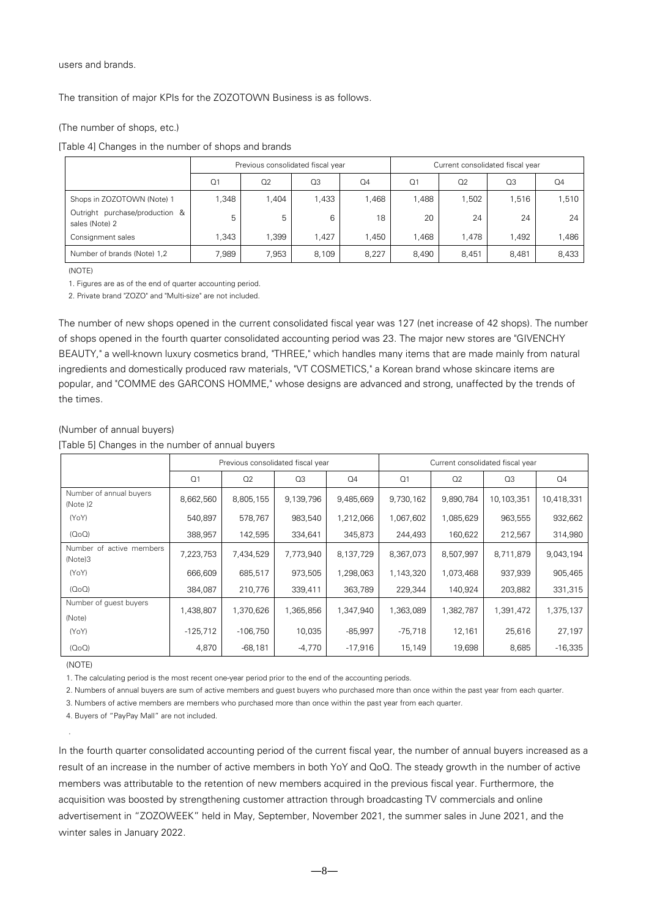users and brands.

The transition of major KPIs for the ZOZOTOWN Business is as follows.

#### (The number of shops, etc.)

[Table 4] Changes in the number of shops and brands

|                                                  | Previous consolidated fiscal year |       |       |       | Current consolidated fiscal year |       |       |                |
|--------------------------------------------------|-----------------------------------|-------|-------|-------|----------------------------------|-------|-------|----------------|
|                                                  | Q <sub>1</sub>                    | Q2    | Q3    | Q4    | Q <sub>1</sub>                   | Q2    | Q3    | Q <sub>4</sub> |
| Shops in ZOZOTOWN (Note) 1                       | .348                              | 1,404 | 1,433 | 1,468 | ,488                             | 1,502 | 1,516 | 1,510          |
| Outright purchase/production &<br>sales (Note) 2 | 5                                 | 5     | 6     | 18    | 20                               | 24    | 24    | 24             |
| Consignment sales                                | .343                              | 1.399 | 1.427 | 1,450 | .468                             | 1.478 | 1.492 | 1,486          |
| Number of brands (Note) 1,2                      | 7,989                             | 7.953 | 8,109 | 8.227 | 8.490                            | 8.451 | 8.481 | 8,433          |

(NOTE)

1. Figures are as of the end of quarter accounting period.

2. Private brand "ZOZO" and "Multi-size" are not included.

The number of new shops opened in the current consolidated fiscal year was 127 (net increase of 42 shops). The number of shops opened in the fourth quarter consolidated accounting period was 23. The major new stores are "GIVENCHY BEAUTY," a well-known luxury cosmetics brand, "THREE," which handles many items that are made mainly from natural ingredients and domestically produced raw materials, "VT COSMETICS," a Korean brand whose skincare items are popular, and "COMME des GARCONS HOMME," whose designs are advanced and strong, unaffected by the trends of the times.

#### (Number of annual buyers)

[Table 5] Changes in the number of annual buyers

|                                     | Previous consolidated fiscal year |            |           |           | Current consolidated fiscal year |                |                |            |
|-------------------------------------|-----------------------------------|------------|-----------|-----------|----------------------------------|----------------|----------------|------------|
|                                     | Q <sub>1</sub>                    | Q2         | Q3        | Q4        | Q <sub>1</sub>                   | Q <sub>2</sub> | Q <sub>3</sub> | Q4         |
| Number of annual buyers<br>(Note)2  | 8,662,560                         | 8,805,155  | 9,139,796 | 9,485,669 | 9,730,162                        | 9,890,784      | 10,103,351     | 10,418,331 |
| (YoY)                               | 540,897                           | 578,767    | 983,540   | 1,212,066 | 1,067,602                        | 1,085,629      | 963,555        | 932,662    |
| (0 <sub>0</sub> )                   | 388,957                           | 142,595    | 334,641   | 345,873   | 244,493                          | 160,622        | 212,567        | 314,980    |
| Number of active members<br>(Note)3 | 7,223,753                         | 7,434,529  | 7,773,940 | 8,137,729 | 8,367,073                        | 8,507,997      | 8,711,879      | 9,043,194  |
| (YoY)                               | 666,609                           | 685,517    | 973,505   | 1,298,063 | 1,143,320                        | 1,073,468      | 937,939        | 905,465    |
| (0 <sub>0</sub> )                   | 384,087                           | 210,776    | 339,411   | 363,789   | 229,344                          | 140,924        | 203,882        | 331,315    |
| Number of quest buyers<br>(Note)    | 1,438,807                         | 1,370,626  | 1,365,856 | 1,347,940 | 1,363,089                        | 1,382,787      | 1,391,472      | 1,375,137  |
| (YoY)                               | $-125,712$                        | $-106,750$ | 10,035    | -85,997   | $-75,718$                        | 12,161         | 25,616         | 27,197     |
| (0 <sub>0</sub> )                   | 4,870                             | $-68,181$  | $-4,770$  | $-17,916$ | 15,149                           | 19,698         | 8,685          | $-16,335$  |

(NOTE)

.

1. The calculating period is the most recent one-year period prior to the end of the accounting periods.

2. Numbers of annual buyers are sum of active members and guest buyers who purchased more than once within the past year from each quarter.

3. Numbers of active members are members who purchased more than once within the past year from each quarter.

4. Buyers of "PayPay Mall" are not included.

In the fourth quarter consolidated accounting period of the current fiscal year, the number of annual buyers increased as a result of an increase in the number of active members in both YoY and QoQ. The steady growth in the number of active members was attributable to the retention of new members acquired in the previous fiscal year. Furthermore, the acquisition was boosted by strengthening customer attraction through broadcasting TV commercials and online advertisement in "ZOZOWEEK" held in May, September, November 2021, the summer sales in June 2021, and the winter sales in January 2022.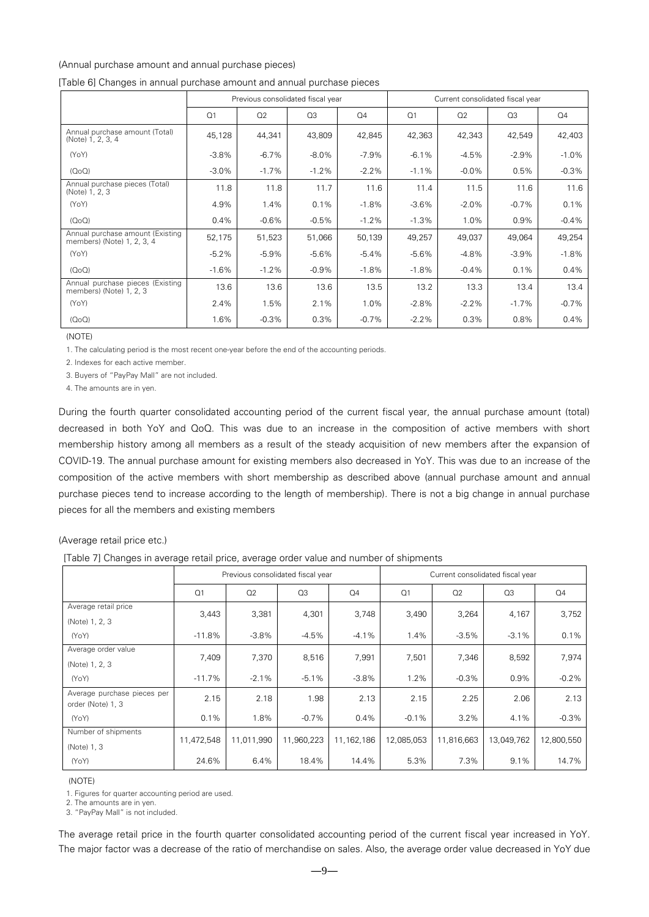#### (Annual purchase amount and annual purchase pieces)

|                                                                |                | Previous consolidated fiscal year |          |                | Current consolidated fiscal year |          |         |         |
|----------------------------------------------------------------|----------------|-----------------------------------|----------|----------------|----------------------------------|----------|---------|---------|
|                                                                | O <sub>1</sub> | Q2                                | Q3       | Q <sub>4</sub> | Q <sub>1</sub>                   | Q2       | Q3      | Q4      |
| Annual purchase amount (Total)<br>(Note) 1, 2, 3, 4            | 45,128         | 44,341                            | 43,809   | 42,845         | 42,363                           | 42,343   | 42,549  | 42,403  |
| (YoY)                                                          | $-3.8\%$       | $-6.7\%$                          | $-8.0\%$ | $-7.9\%$       | $-6.1%$                          | $-4.5%$  | $-2.9%$ | $-1.0%$ |
| (OOO)                                                          | $-3.0\%$       | $-1.7%$                           | $-1.2%$  | $-2.2\%$       | $-1.1%$                          | $-0.0\%$ | 0.5%    | $-0.3%$ |
| Annual purchase pieces (Total)<br>(Note) 1, 2, 3               | 11.8           | 11.8                              | 11.7     | 11.6           | 11.4                             | 11.5     | 11.6    | 11.6    |
| (YoY)                                                          | 4.9%           | 1.4%                              | 0.1%     | $-1.8%$        | $-3.6%$                          | $-2.0%$  | $-0.7%$ | 0.1%    |
| (OOO)                                                          | 0.4%           | $-0.6%$                           | $-0.5%$  | $-1.2%$        | $-1.3%$                          | 1.0%     | 0.9%    | $-0.4%$ |
| Annual purchase amount (Existing<br>members) (Note) 1, 2, 3, 4 | 52,175         | 51,523                            | 51,066   | 50,139         | 49,257                           | 49,037   | 49,064  | 49,254  |
| (YoY)                                                          | $-5.2\%$       | $-5.9\%$                          | $-5.6%$  | $-5.4\%$       | $-5.6%$                          | $-4.8%$  | $-3.9%$ | $-1.8%$ |
| (OOO)                                                          | $-1.6%$        | $-1.2%$                           | $-0.9%$  | $-1.8%$        | $-1.8%$                          | $-0.4\%$ | 0.1%    | 0.4%    |
| Annual purchase pieces (Existing<br>members) (Note) 1, 2, 3    | 13.6           | 13.6                              | 13.6     | 13.5           | 13.2                             | 13.3     | 13.4    | 13.4    |
| (YoY)                                                          | 2.4%           | 1.5%                              | 2.1%     | 1.0%           | $-2.8%$                          | $-2.2%$  | $-1.7%$ | $-0.7%$ |
| (OOO)                                                          | 1.6%           | $-0.3%$                           | 0.3%     | $-0.7%$        | $-2.2%$                          | 0.3%     | 0.8%    | 0.4%    |

#### [Table 6] Changes in annual purchase amount and annual purchase pieces

(NOTE)

1. The calculating period is the most recent one-year before the end of the accounting periods.

2. Indexes for each active member.

3. Buyers of "PayPay Mall" are not included.

4. The amounts are in yen.

During the fourth quarter consolidated accounting period of the current fiscal year, the annual purchase amount (total) decreased in both YoY and QoQ. This was due to an increase in the composition of active members with short membership history among all members as a result of the steady acquisition of new members after the expansion of COVID-19. The annual purchase amount for existing members also decreased in YoY. This was due to an increase of the composition of the active members with short membership as described above (annual purchase amount and annual purchase pieces tend to increase according to the length of membership). There is not a big change in annual purchase pieces for all the members and existing members

#### (Average retail price etc.)

[Table 7] Changes in average retail price, average order value and number of shipments

|                                                  | Previous consolidated fiscal year |            |                |                | Current consolidated fiscal year |            |            |            |
|--------------------------------------------------|-----------------------------------|------------|----------------|----------------|----------------------------------|------------|------------|------------|
|                                                  | Q <sub>1</sub>                    | Q2         | Q <sub>3</sub> | Q <sub>4</sub> | Q <sub>1</sub>                   | Q2         | Q3         | Q4         |
| Average retail price<br>(Note) 1, 2, 3           | 3,443                             | 3,381      | 4,301          | 3,748          | 3,490                            | 3,264      | 4,167      | 3,752      |
| (YoY)                                            | $-11.8%$                          | $-3.8%$    | $-4.5\%$       | $-4.1\%$       | 1.4%                             | $-3.5%$    | $-3.1%$    | 0.1%       |
| Average order value<br>(Note) 1, 2, 3            | 7,409                             | 7,370      | 8,516          | 7,991          | 7,501                            | 7,346      | 8,592      | 7,974      |
| (YoY)                                            | $-11.7%$                          | $-2.1%$    | $-5.1%$        | $-3.8%$        | 1.2%                             | $-0.3%$    | 0.9%       | $-0.2%$    |
| Average purchase pieces per<br>order (Note) 1, 3 | 2.15                              | 2.18       | 1.98           | 2.13           | 2.15                             | 2.25       | 2.06       | 2.13       |
| (YoY)                                            | 0.1%                              | 1.8%       | $-0.7\%$       | $0.4\%$        | $-0.1%$                          | 3.2%       | 4.1%       | $-0.3%$    |
| Number of shipments<br>(Note) 1, 3               | 11,472,548                        | 11,011,990 | 11,960,223     | 11,162,186     | 12,085,053                       | 11,816,663 | 13,049,762 | 12,800,550 |
| (YoY)                                            | 24.6%                             | 6.4%       | 18.4%          | 14.4%          | 5.3%                             | 7.3%       | 9.1%       | 14.7%      |

(NOTE)

1. Figures for quarter accounting period are used.

2. The amounts are in yen.

3. "PayPay Mall" is not included.

The average retail price in the fourth quarter consolidated accounting period of the current fiscal year increased in YoY. The major factor was a decrease of the ratio of merchandise on sales. Also, the average order value decreased in YoY due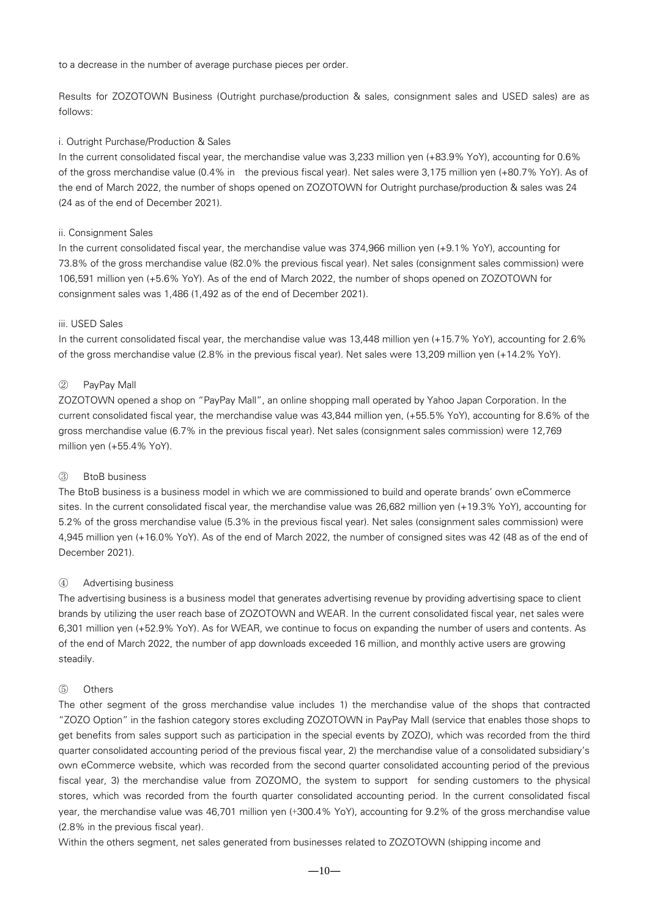to a decrease in the number of average purchase pieces per order.

Results for ZOZOTOWN Business (Outright purchase/production & sales, consignment sales and USED sales) are as follows:

### i. Outright Purchase/Production & Sales

In the current consolidated fiscal year, the merchandise value was 3,233 million yen (+83.9% YoY), accounting for 0.6% of the gross merchandise value (0.4% in the previous fiscal year). Net sales were 3,175 million yen (+80.7% YoY). As of the end of March 2022, the number of shops opened on ZOZOTOWN for Outright purchase/production & sales was 24 (24 as of the end of December 2021).

### ii. Consignment Sales

In the current consolidated fiscal year, the merchandise value was 374,966 million yen (+9.1% YoY), accounting for 73.8% of the gross merchandise value (82.0% the previous fiscal year). Net sales (consignment sales commission) were 106,591 million yen (+5.6% YoY). As of the end of March 2022, the number of shops opened on ZOZOTOWN for consignment sales was 1,486 (1,492 as of the end of December 2021).

#### iii. USED Sales

In the current consolidated fiscal year, the merchandise value was 13,448 million yen (+15.7% YoY), accounting for 2.6% of the gross merchandise value (2.8% in the previous fiscal year). Net sales were 13,209 million yen (+14.2% YoY).

### ② PayPay Mall

ZOZOTOWN opened a shop on "PayPay Mall", an online shopping mall operated by Yahoo Japan Corporation. In the current consolidated fiscal year, the merchandise value was 43,844 million yen, (+55.5% YoY), accounting for 8.6% of the gross merchandise value (6.7% in the previous fiscal year). Net sales (consignment sales commission) were 12,769 million yen (+55.4% YoY).

### ③ BtoB business

The BtoB business is a business model in which we are commissioned to build and operate brands' own eCommerce sites. In the current consolidated fiscal year, the merchandise value was 26,682 million yen (+19.3% YoY), accounting for 5.2% of the gross merchandise value (5.3% in the previous fiscal year). Net sales (consignment sales commission) were 4,945 million yen (+16.0% YoY). As of the end of March 2022, the number of consigned sites was 42 (48 as of the end of December 2021).

### ④ Advertising business

The advertising business is a business model that generates advertising revenue by providing advertising space to client brands by utilizing the user reach base of ZOZOTOWN and WEAR. In the current consolidated fiscal year, net sales were 6,301 million yen (+52.9% YoY). As for WEAR, we continue to focus on expanding the number of users and contents. As of the end of March 2022, the number of app downloads exceeded 16 million, and monthly active users are growing steadily.

### ⑤ Others

The other segment of the gross merchandise value includes 1) the merchandise value of the shops that contracted "ZOZO Option" in the fashion category stores excluding ZOZOTOWN in PayPay Mall (service that enables those shops to get benefits from sales support such as participation in the special events by ZOZO), which was recorded from the third quarter consolidated accounting period of the previous fiscal year, 2) the merchandise value of a consolidated subsidiary's own eCommerce website, which was recorded from the second quarter consolidated accounting period of the previous fiscal year, 3) the merchandise value from ZOZOMO, the system to support for sending customers to the physical stores, which was recorded from the fourth quarter consolidated accounting period. In the current consolidated fiscal year, the merchandise value was 46,701 million yen (+300.4% YoY), accounting for 9.2% of the gross merchandise value (2.8% in the previous fiscal year).

Within the others segment, net sales generated from businesses related to ZOZOTOWN (shipping income and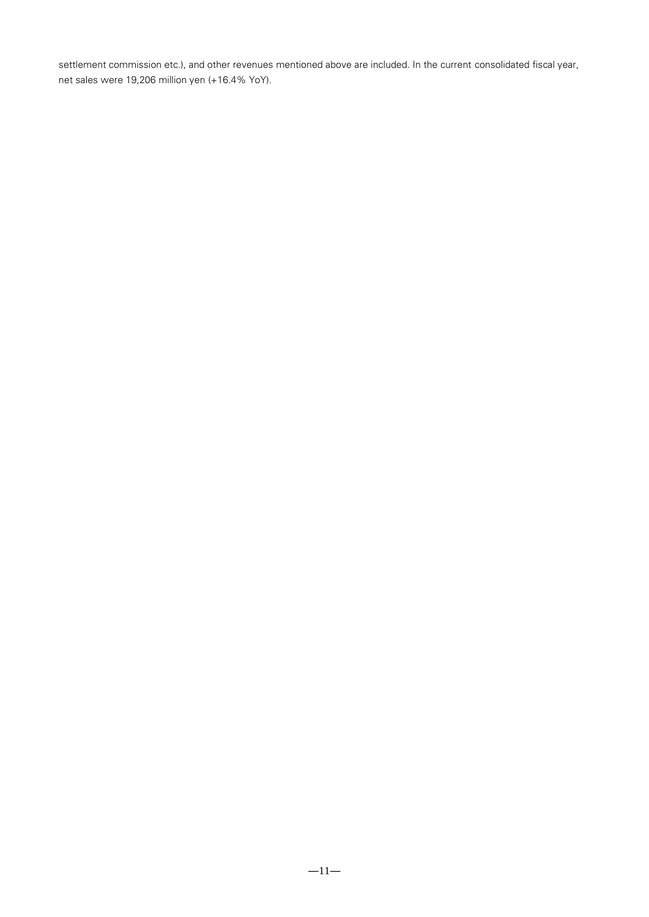settlement commission etc.), and other revenues mentioned above are included. In the current consolidated fiscal year, net sales were 19,206 million yen (+16.4% YoY).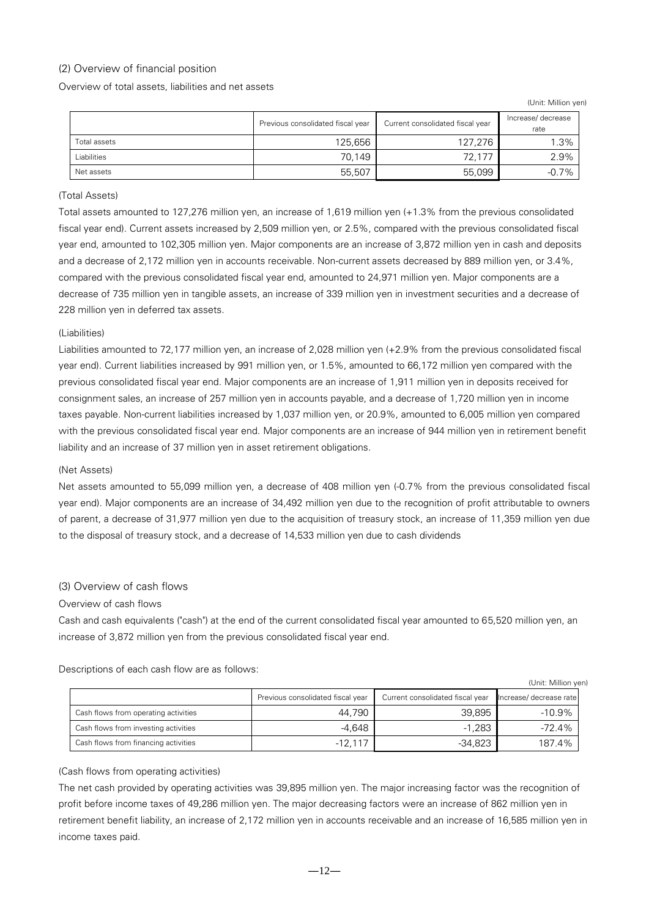## <span id="page-11-0"></span>(2) Overview of financial position

Overview of total assets, liabilities and net assets

(Unit: Million yen)

|              | Previous consolidated fiscal year | Current consolidated fiscal year | Increase/decrease<br>rate |
|--------------|-----------------------------------|----------------------------------|---------------------------|
| Total assets | 125,656                           | 127,276                          | 1.3%                      |
| Liabilities  | 70.149                            | 72,177                           | 2.9%                      |
| Net assets   | 55,507                            | 55,099                           | $-0.7%$                   |

### (Total Assets)

Total assets amounted to 127,276 million yen, an increase of 1,619 million yen (+1.3% from the previous consolidated fiscal year end). Current assets increased by 2,509 million yen, or 2.5%, compared with the previous consolidated fiscal year end, amounted to 102,305 million yen. Major components are an increase of 3,872 million yen in cash and deposits and a decrease of 2,172 million yen in accounts receivable. Non-current assets decreased by 889 million yen, or 3.4%, compared with the previous consolidated fiscal year end, amounted to 24,971 million yen. Major components are a decrease of 735 million yen in tangible assets, an increase of 339 million yen in investment securities and a decrease of 228 million yen in deferred tax assets.

### (Liabilities)

Liabilities amounted to 72,177 million yen, an increase of 2,028 million yen (+2.9% from the previous consolidated fiscal year end). Current liabilities increased by 991 million yen, or 1.5%, amounted to 66,172 million yen compared with the previous consolidated fiscal year end. Major components are an increase of 1,911 million yen in deposits received for consignment sales, an increase of 257 million yen in accounts payable, and a decrease of 1,720 million yen in income taxes payable. Non-current liabilities increased by 1,037 million yen, or 20.9%, amounted to 6,005 million yen compared with the previous consolidated fiscal year end. Major components are an increase of 944 million yen in retirement benefit liability and an increase of 37 million yen in asset retirement obligations.

### (Net Assets)

Net assets amounted to 55,099 million yen, a decrease of 408 million yen (-0.7% from the previous consolidated fiscal year end). Major components are an increase of 34,492 million yen due to the recognition of profit attributable to owners of parent, a decrease of 31,977 million yen due to the acquisition of treasury stock, an increase of 11,359 million yen due to the disposal of treasury stock, and a decrease of 14,533 million yen due to cash dividends

## <span id="page-11-1"></span>(3) Overview of cash flows

### Overview of cash flows

Cash and cash equivalents ("cash") at the end of the current consolidated fiscal year amounted to 65,520 million yen, an increase of 3,872 million yen from the previous consolidated fiscal year end.

Descriptions of each cash flow are as follows:

|                                      |                                   |                                  | (Unit: Million yen)     |
|--------------------------------------|-----------------------------------|----------------------------------|-------------------------|
|                                      | Previous consolidated fiscal year | Current consolidated fiscal year | Increase/ decrease rate |
| Cash flows from operating activities | 44.790                            | 39.895                           | $-10.9%$                |
| Cash flows from investing activities | -4.648                            | $-1.283$                         | $-72.4%$                |
| Cash flows from financing activities | $-12,117$                         | -34,823                          | 187.4%                  |

### (Cash flows from operating activities)

The net cash provided by operating activities was 39,895 million yen. The major increasing factor was the recognition of profit before income taxes of 49,286 million yen. The major decreasing factors were an increase of 862 million yen in retirement benefit liability, an increase of 2,172 million yen in accounts receivable and an increase of 16,585 million yen in income taxes paid.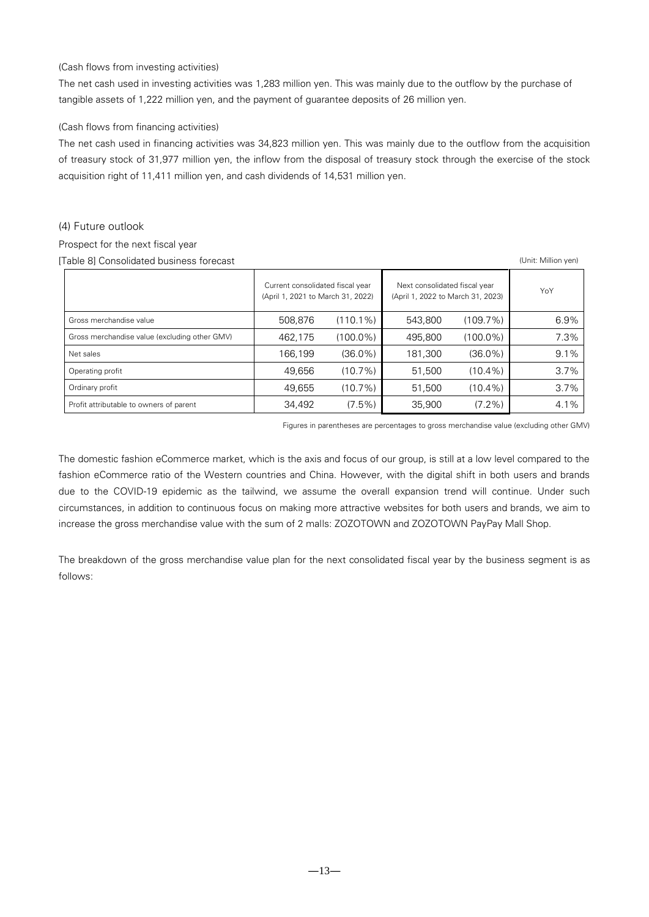### (Cash flows from investing activities)

The net cash used in investing activities was 1,283 million yen. This was mainly due to the outflow by the purchase of tangible assets of 1,222 million yen, and the payment of guarantee deposits of 26 million yen.

### (Cash flows from financing activities)

The net cash used in financing activities was 34,823 million yen. This was mainly due to the outflow from the acquisition of treasury stock of 31,977 million yen, the inflow from the disposal of treasury stock through the exercise of the stock acquisition right of 11,411 million yen, and cash dividends of 14,531 million yen.

### <span id="page-12-0"></span>(4) Future outlook

## Prospect for the next fiscal year

[Table 8] Consolidated business forecast (Unit: Million yen)

|                                               | Current consolidated fiscal year<br>(April 1, 2021 to March 31, 2022) |             | Next consolidated fiscal year<br>(April 1, 2022 to March 31, 2023) | YoY         |      |
|-----------------------------------------------|-----------------------------------------------------------------------|-------------|--------------------------------------------------------------------|-------------|------|
| Gross merchandise value                       | 508,876                                                               | $(110.1\%)$ | 543.800                                                            | $(109.7\%)$ | 6.9% |
| Gross merchandise value (excluding other GMV) | 462,175                                                               | $(100.0\%)$ | 495.800                                                            | $(100.0\%)$ | 7.3% |
| Net sales                                     | 166.199                                                               | $(36.0\%)$  | 181.300                                                            | $(36.0\%)$  | 9.1% |
| Operating profit                              | 49.656                                                                | $(10.7\%)$  | 51,500                                                             | $(10.4\%)$  | 3.7% |
| Ordinary profit                               | 49,655                                                                | $(10.7\%)$  | 51,500                                                             | $(10.4\%)$  | 3.7% |
| Profit attributable to owners of parent       | 34,492                                                                | $(7.5\%)$   | 35,900                                                             | $(7.2\%)$   | 4.1% |

Figures in parentheses are percentages to gross merchandise value (excluding other GMV)

The domestic fashion eCommerce market, which is the axis and focus of our group, is still at a low level compared to the fashion eCommerce ratio of the Western countries and China. However, with the digital shift in both users and brands due to the COVID-19 epidemic as the tailwind, we assume the overall expansion trend will continue. Under such circumstances, in addition to continuous focus on making more attractive websites for both users and brands, we aim to increase the gross merchandise value with the sum of 2 malls: ZOZOTOWN and ZOZOTOWN PayPay Mall Shop.

The breakdown of the gross merchandise value plan for the next consolidated fiscal year by the business segment is as follows: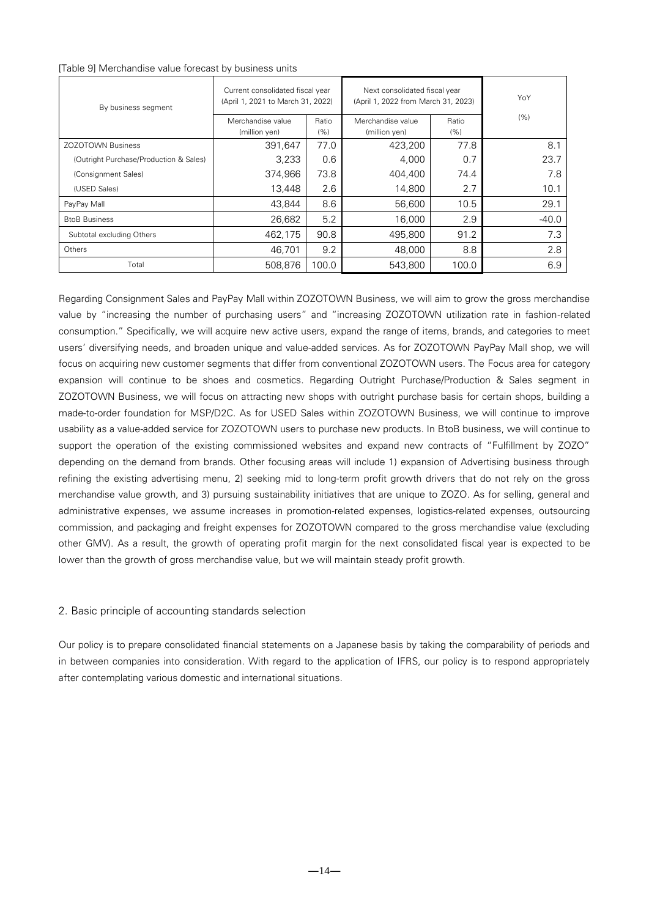#### [Table 9] Merchandise value forecast by business units

| By business segment                    | Current consolidated fiscal year<br>(April 1, 2021 to March 31, 2022) |       | Next consolidated fiscal year<br>(April 1, 2022 from March 31, 2023) | YoY   |         |
|----------------------------------------|-----------------------------------------------------------------------|-------|----------------------------------------------------------------------|-------|---------|
|                                        | Merchandise value                                                     | Ratio | Merchandise value                                                    | Ratio | (% )    |
|                                        | (million yen)                                                         | (%)   | (million yen)                                                        | (% )  |         |
| <b>ZOZOTOWN Business</b>               | 391,647                                                               | 77.0  | 423,200                                                              | 77.8  | 8.1     |
| (Outright Purchase/Production & Sales) | 3,233                                                                 | 0.6   | 4,000                                                                | 0.7   | 23.7    |
| (Consignment Sales)                    | 374.966                                                               | 73.8  | 404,400                                                              | 74.4  | 7.8     |
| (USED Sales)                           | 13.448                                                                | 2.6   | 14,800                                                               | 2.7   | 10.1    |
| PayPay Mall                            | 43.844                                                                | 8.6   | 56,600                                                               | 10.5  | 29.1    |
| <b>BtoB Business</b>                   | 26.682                                                                | 5.2   | 16,000                                                               | 2.9   | $-40.0$ |
| Subtotal excluding Others              | 462,175                                                               | 90.8  | 495,800                                                              | 91.2  | 7.3     |
| Others                                 | 46.701                                                                | 9.2   | 48,000                                                               | 8.8   | 2.8     |
| Total                                  | 508,876                                                               | 100.0 | 543,800                                                              | 100.0 | 6.9     |

Regarding Consignment Sales and PayPay Mall within ZOZOTOWN Business, we will aim to grow the gross merchandise value by "increasing the number of purchasing users" and "increasing ZOZOTOWN utilization rate in fashion-related consumption." Specifically, we will acquire new active users, expand the range of items, brands, and categories to meet users' diversifying needs, and broaden unique and value-added services. As for ZOZOTOWN PayPay Mall shop, we will focus on acquiring new customer segments that differ from conventional ZOZOTOWN users. The Focus area for category expansion will continue to be shoes and cosmetics. Regarding Outright Purchase/Production & Sales segment in ZOZOTOWN Business, we will focus on attracting new shops with outright purchase basis for certain shops, building a made-to-order foundation for MSP/D2C. As for USED Sales within ZOZOTOWN Business, we will continue to improve usability as a value-added service for ZOZOTOWN users to purchase new products. In BtoB business, we will continue to support the operation of the existing commissioned websites and expand new contracts of "Fulfillment by ZOZO" depending on the demand from brands. Other focusing areas will include 1) expansion of Advertising business through refining the existing advertising menu, 2) seeking mid to long-term profit growth drivers that do not rely on the gross merchandise value growth, and 3) pursuing sustainability initiatives that are unique to ZOZO. As for selling, general and administrative expenses, we assume increases in promotion-related expenses, logistics-related expenses, outsourcing commission, and packaging and freight expenses for ZOZOTOWN compared to the gross merchandise value (excluding other GMV). As a result, the growth of operating profit margin for the next consolidated fiscal year is expected to be lower than the growth of gross merchandise value, but we will maintain steady profit growth.

### <span id="page-13-0"></span>2. Basic principle of accounting standards selection

Our policy is to prepare consolidated financial statements on a Japanese basis by taking the comparability of periods and in between companies into consideration. With regard to the application of IFRS, our policy is to respond appropriately after contemplating various domestic and international situations.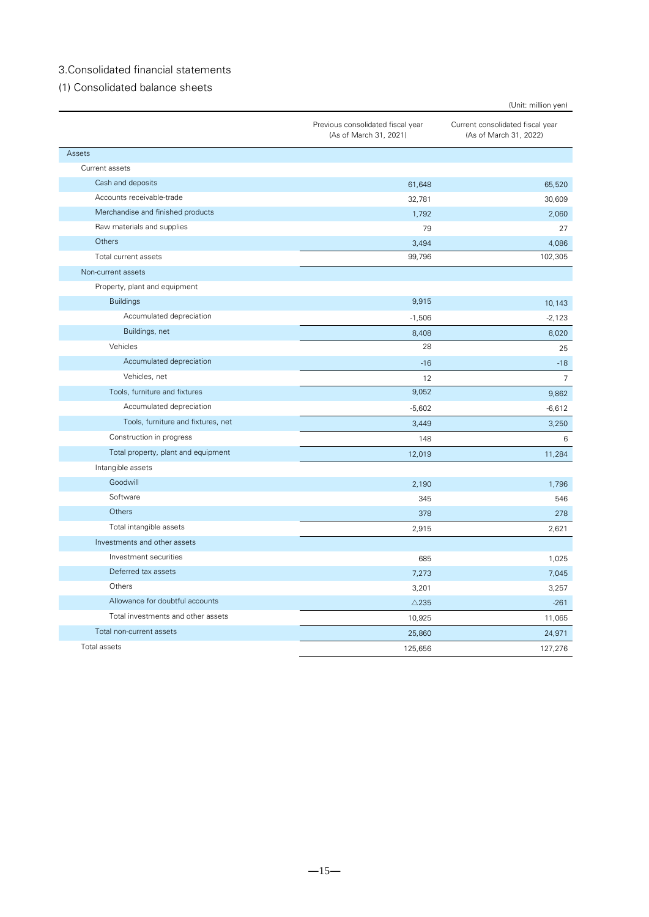## <span id="page-14-0"></span>3.Consolidated financial statements

<span id="page-14-1"></span>(1) Consolidated balance sheets

|                                     |                                                             | (Unit: million yen)                                        |
|-------------------------------------|-------------------------------------------------------------|------------------------------------------------------------|
|                                     | Previous consolidated fiscal year<br>(As of March 31, 2021) | Current consolidated fiscal year<br>(As of March 31, 2022) |
| Assets                              |                                                             |                                                            |
| Current assets                      |                                                             |                                                            |
| Cash and deposits                   | 61,648                                                      | 65,520                                                     |
| Accounts receivable-trade           | 32,781                                                      | 30,609                                                     |
| Merchandise and finished products   | 1,792                                                       | 2,060                                                      |
| Raw materials and supplies          | 79                                                          | 27                                                         |
| Others                              | 3,494                                                       | 4,086                                                      |
| Total current assets                | 99,796                                                      | 102,305                                                    |
| Non-current assets                  |                                                             |                                                            |
| Property, plant and equipment       |                                                             |                                                            |
| <b>Buildings</b>                    | 9,915                                                       | 10,143                                                     |
| Accumulated depreciation            | $-1,506$                                                    | $-2,123$                                                   |
| Buildings, net                      | 8,408                                                       | 8,020                                                      |
| Vehicles                            | 28                                                          | 25                                                         |
| Accumulated depreciation            | $-16$                                                       | $-18$                                                      |
| Vehicles, net                       | 12                                                          | $\overline{7}$                                             |
| Tools, furniture and fixtures       | 9,052                                                       | 9,862                                                      |
| Accumulated depreciation            | $-5,602$                                                    | $-6,612$                                                   |
| Tools, furniture and fixtures, net  | 3,449                                                       | 3,250                                                      |
| Construction in progress            | 148                                                         | 6                                                          |
| Total property, plant and equipment | 12,019                                                      | 11,284                                                     |
| Intangible assets                   |                                                             |                                                            |
| Goodwill                            | 2,190                                                       | 1,796                                                      |
| Software                            | 345                                                         | 546                                                        |
| Others                              | 378                                                         | 278                                                        |
| Total intangible assets             | 2,915                                                       | 2,621                                                      |
| Investments and other assets        |                                                             |                                                            |
| Investment securities               | 685                                                         | 1,025                                                      |
| Deferred tax assets                 | 7,273                                                       | 7,045                                                      |
| Others                              | 3,201                                                       | 3,257                                                      |
| Allowance for doubtful accounts     | $\triangle$ 235                                             | $-261$                                                     |
| Total investments and other assets  | 10,925                                                      | 11,065                                                     |
| Total non-current assets            | 25,860                                                      | 24,971                                                     |
| Total assets                        | 125,656                                                     | 127,276                                                    |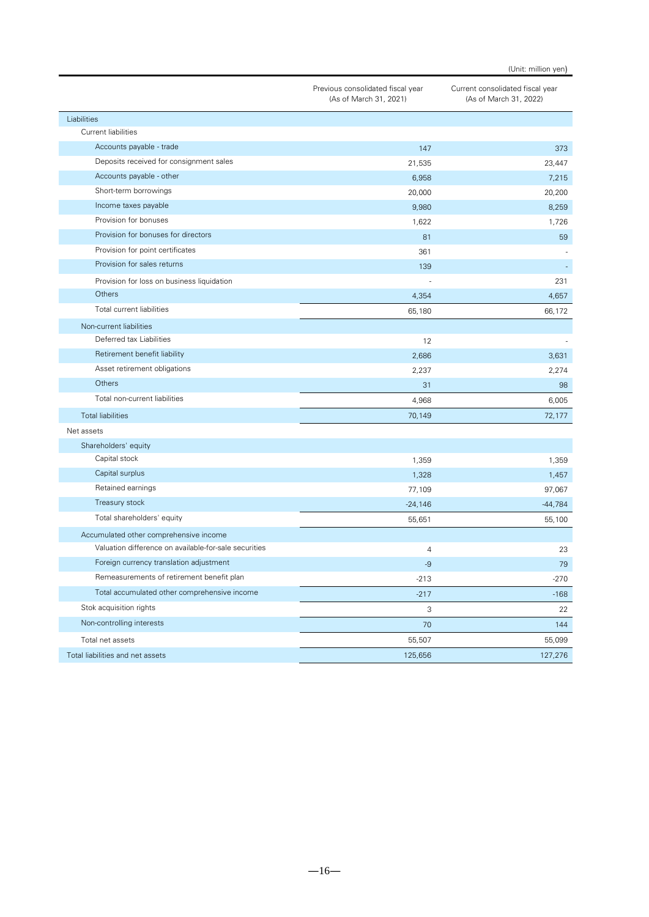|                                                       | Previous consolidated fiscal year<br>(As of March 31, 2021) | Current consolidated fiscal year<br>(As of March 31, 2022) |
|-------------------------------------------------------|-------------------------------------------------------------|------------------------------------------------------------|
| Liabilities                                           |                                                             |                                                            |
| Current liabilities                                   |                                                             |                                                            |
| Accounts payable - trade                              | 147                                                         | 373                                                        |
| Deposits received for consignment sales               | 21,535                                                      | 23,447                                                     |
| Accounts payable - other                              | 6,958                                                       | 7,215                                                      |
| Short-term borrowings                                 | 20,000                                                      | 20,200                                                     |
| Income taxes payable                                  | 9,980                                                       | 8,259                                                      |
| Provision for bonuses                                 | 1,622                                                       | 1,726                                                      |
| Provision for bonuses for directors                   | 81                                                          | 59                                                         |
| Provision for point certificates                      | 361                                                         |                                                            |
| Provision for sales returns                           | 139                                                         |                                                            |
| Provision for loss on business liquidation            |                                                             | 231                                                        |
| Others                                                | 4,354                                                       | 4,657                                                      |
| Total current liabilities                             | 65,180                                                      | 66,172                                                     |
| Non-current liabilities                               |                                                             |                                                            |
| Deferred tax Liabilities                              | 12                                                          |                                                            |
| Retirement benefit liability                          | 2,686                                                       | 3,631                                                      |
| Asset retirement obligations                          | 2,237                                                       | 2,274                                                      |
| Others                                                | 31                                                          | 98                                                         |
| Total non-current liabilities                         | 4,968                                                       | 6,005                                                      |
| <b>Total liabilities</b>                              | 70,149                                                      | 72,177                                                     |
| Net assets                                            |                                                             |                                                            |
| Shareholders' equity                                  |                                                             |                                                            |
| Capital stock                                         | 1,359                                                       | 1,359                                                      |
| Capital surplus                                       | 1,328                                                       | 1,457                                                      |
| Retained earnings                                     | 77,109                                                      | 97,067                                                     |
| Treasury stock                                        | $-24,146$                                                   | $-44,784$                                                  |
| Total shareholders' equity                            | 55,651                                                      | 55,100                                                     |
| Accumulated other comprehensive income                |                                                             |                                                            |
| Valuation difference on available-for-sale securities | $\overline{4}$                                              | 23                                                         |
| Foreign currency translation adjustment               | -9                                                          | 79                                                         |
| Remeasurements of retirement benefit plan             | $-213$                                                      | $-270$                                                     |
| Total accumulated other comprehensive income          | $-217$                                                      | $-168$                                                     |
| Stok acquisition rights                               | 3                                                           | 22                                                         |
| Non-controlling interests                             | 70                                                          | 144                                                        |
| Total net assets                                      | 55,507                                                      | 55,099                                                     |
| Total liabilities and net assets                      | 125,656                                                     | 127,276                                                    |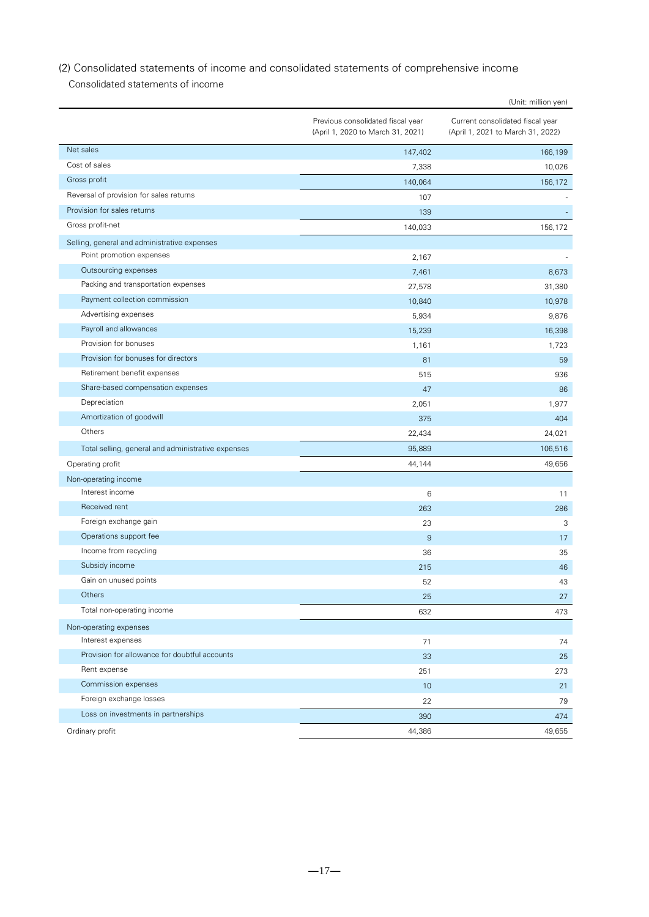## <span id="page-16-0"></span>(2) Consolidated statements of income and consolidated statements of comprehensive income

Consolidated statements of income

|                                                    |                                                                        | (Unit: million yen)                                                   |
|----------------------------------------------------|------------------------------------------------------------------------|-----------------------------------------------------------------------|
|                                                    | Previous consolidated fiscal year<br>(April 1, 2020 to March 31, 2021) | Current consolidated fiscal year<br>(April 1, 2021 to March 31, 2022) |
| Net sales                                          | 147,402                                                                | 166,199                                                               |
| Cost of sales                                      | 7,338                                                                  | 10,026                                                                |
| Gross profit                                       | 140,064                                                                | 156,172                                                               |
| Reversal of provision for sales returns            | 107                                                                    |                                                                       |
| Provision for sales returns                        | 139                                                                    |                                                                       |
| Gross profit-net                                   | 140,033                                                                | 156,172                                                               |
| Selling, general and administrative expenses       |                                                                        |                                                                       |
| Point promotion expenses                           | 2,167                                                                  |                                                                       |
| Outsourcing expenses                               | 7,461                                                                  | 8,673                                                                 |
| Packing and transportation expenses                | 27,578                                                                 | 31,380                                                                |
| Payment collection commission                      | 10,840                                                                 | 10,978                                                                |
| Advertising expenses                               | 5,934                                                                  | 9,876                                                                 |
| Payroll and allowances                             | 15,239                                                                 | 16,398                                                                |
| Provision for bonuses                              | 1,161                                                                  | 1,723                                                                 |
| Provision for bonuses for directors                | 81                                                                     | 59                                                                    |
| Retirement benefit expenses                        | 515                                                                    | 936                                                                   |
| Share-based compensation expenses                  | 47                                                                     | 86                                                                    |
| Depreciation                                       | 2,051                                                                  | 1,977                                                                 |
| Amortization of goodwill                           | 375                                                                    | 404                                                                   |
| Others                                             | 22,434                                                                 | 24,021                                                                |
| Total selling, general and administrative expenses | 95,889                                                                 | 106,516                                                               |
| Operating profit                                   | 44,144                                                                 | 49,656                                                                |
| Non-operating income                               |                                                                        |                                                                       |
| Interest income                                    | 6                                                                      | 11                                                                    |
| Received rent                                      | 263                                                                    | 286                                                                   |
| Foreign exchange gain                              | 23                                                                     | 3                                                                     |
| Operations support fee                             | 9                                                                      | 17                                                                    |
| Income from recycling                              | 36                                                                     | 35                                                                    |
| Subsidy income                                     | 215                                                                    | 46                                                                    |
| Gain on unused points                              | bΖ                                                                     | 43                                                                    |
| Others                                             | 25                                                                     | 27                                                                    |
| Total non-operating income                         | 632                                                                    | 473                                                                   |
| Non-operating expenses                             |                                                                        |                                                                       |
| Interest expenses                                  | 71                                                                     | 74                                                                    |
| Provision for allowance for doubtful accounts      | 33                                                                     | 25                                                                    |
| Rent expense                                       | 251                                                                    | 273                                                                   |
| Commission expenses                                | 10                                                                     | 21                                                                    |
| Foreign exchange losses                            | 22                                                                     | 79                                                                    |
| Loss on investments in partnerships                | 390                                                                    | 474                                                                   |
| Ordinary profit                                    | 44,386                                                                 | 49,655                                                                |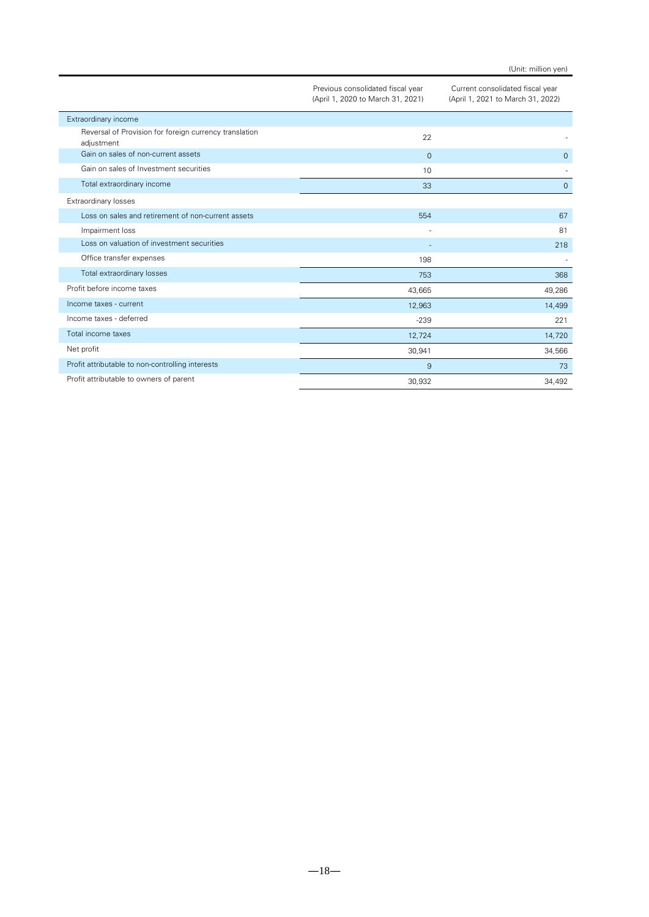|                                                                      | Previous consolidated fiscal year<br>(April 1, 2020 to March 31, 2021) | Current consolidated fiscal year<br>(April 1, 2021 to March 31, 2022) |
|----------------------------------------------------------------------|------------------------------------------------------------------------|-----------------------------------------------------------------------|
| Extraordinary income                                                 |                                                                        |                                                                       |
| Reversal of Provision for foreign currency translation<br>adjustment | 22                                                                     |                                                                       |
| Gain on sales of non-current assets                                  | $\mathbf{0}$                                                           | $\mathbf{0}$                                                          |
| Gain on sales of Investment securities                               | 10                                                                     |                                                                       |
| Total extraordinary income                                           | 33                                                                     | $\overline{0}$                                                        |
| Extraordinary losses                                                 |                                                                        |                                                                       |
| Loss on sales and retirement of non-current assets                   | 554                                                                    | 67                                                                    |
| Impairment loss                                                      |                                                                        | 81                                                                    |
| Loss on valuation of investment securities                           |                                                                        | 218                                                                   |
| Office transfer expenses                                             | 198                                                                    |                                                                       |
| Total extraordinary losses                                           | 753                                                                    | 368                                                                   |
| Profit before income taxes                                           | 43,665                                                                 | 49,286                                                                |
| Income taxes - current                                               | 12,963                                                                 | 14,499                                                                |
| Income taxes - deferred                                              | $-239$                                                                 | 221                                                                   |
| Total income taxes                                                   | 12,724                                                                 | 14,720                                                                |
| Net profit                                                           | 30,941                                                                 | 34,566                                                                |
| Profit attributable to non-controlling interests                     | $\overline{9}$                                                         | 73                                                                    |
| Profit attributable to owners of parent                              | 30,932                                                                 | 34,492                                                                |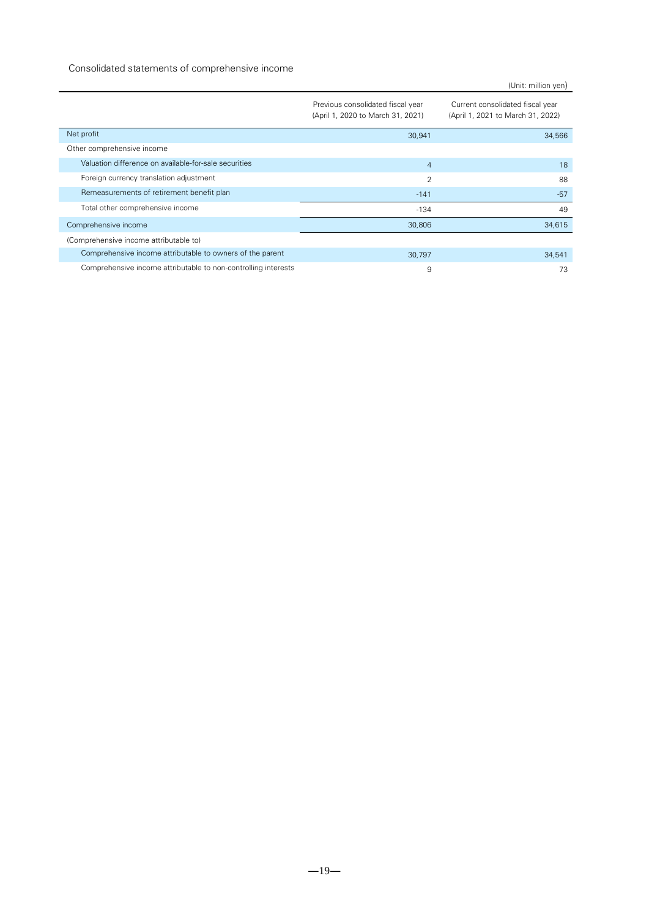### Consolidated statements of comprehensive income

|                                                                |                                                                        | (Unit: million yen)                                                   |
|----------------------------------------------------------------|------------------------------------------------------------------------|-----------------------------------------------------------------------|
|                                                                | Previous consolidated fiscal year<br>(April 1, 2020 to March 31, 2021) | Current consolidated fiscal year<br>(April 1, 2021 to March 31, 2022) |
| Net profit                                                     | 30,941                                                                 | 34,566                                                                |
| Other comprehensive income                                     |                                                                        |                                                                       |
| Valuation difference on available-for-sale securities          | $\overline{4}$                                                         | 18                                                                    |
| Foreign currency translation adjustment                        | 2                                                                      | 88                                                                    |
| Remeasurements of retirement benefit plan                      | $-141$                                                                 | $-57$                                                                 |
| Total other comprehensive income                               | $-134$                                                                 | 49                                                                    |
| Comprehensive income                                           | 30,806                                                                 | 34,615                                                                |
| (Comprehensive income attributable to)                         |                                                                        |                                                                       |
| Comprehensive income attributable to owners of the parent      | 30,797                                                                 | 34,541                                                                |
| Comprehensive income attributable to non-controlling interests | 9                                                                      | 73                                                                    |

 $-19-$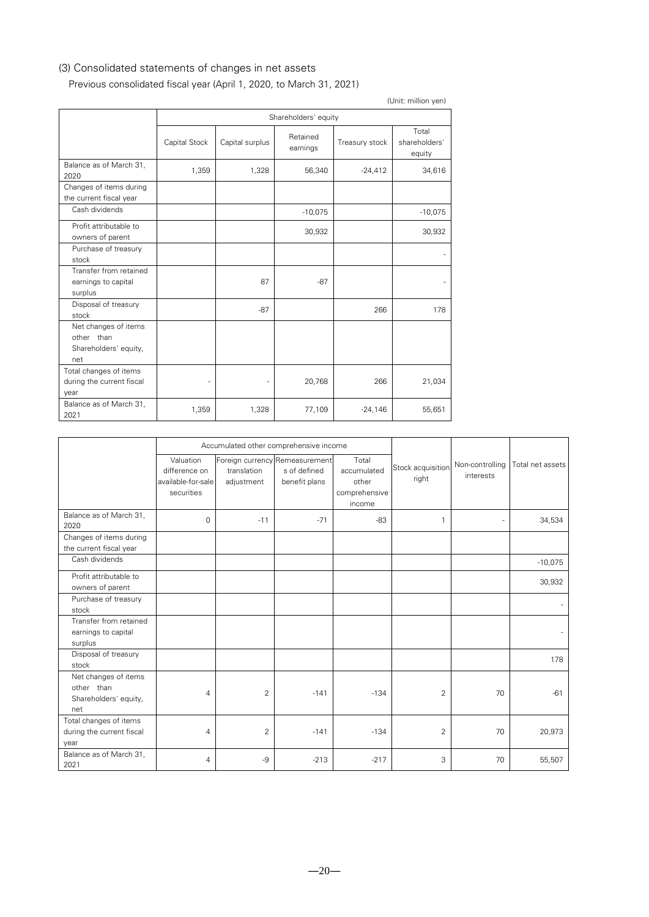## <span id="page-19-0"></span>(3) Consolidated statements of changes in net assets

# Previous consolidated fiscal year (April 1, 2020, to March 31, 2021)

| (Unit: million yen)                                                |               |                      |                      |                |                                  |  |
|--------------------------------------------------------------------|---------------|----------------------|----------------------|----------------|----------------------------------|--|
|                                                                    |               | Shareholders' equity |                      |                |                                  |  |
|                                                                    | Capital Stock | Capital surplus      | Retained<br>earnings | Treasury stock | Total<br>shareholders'<br>equity |  |
| Balance as of March 31,<br>2020                                    | 1,359         | 1,328                | 56,340               | $-24,412$      | 34,616                           |  |
| Changes of items during<br>the current fiscal year                 |               |                      |                      |                |                                  |  |
| Cash dividends                                                     |               |                      | $-10,075$            |                | $-10,075$                        |  |
| Profit attributable to<br>owners of parent                         |               |                      | 30,932               |                | 30,932                           |  |
| Purchase of treasury<br>stock                                      |               |                      |                      |                |                                  |  |
| Transfer from retained<br>earnings to capital<br>surplus           |               | 87                   | $-87$                |                |                                  |  |
| Disposal of treasury<br>stock                                      |               | $-87$                |                      | 266            | 178                              |  |
| Net changes of items<br>other than<br>Shareholders' equity,<br>net |               |                      |                      |                |                                  |  |
| Total changes of items<br>during the current fiscal<br>year        |               |                      | 20,768               | 266            | 21,034                           |  |
| Balance as of March 31,<br>2021                                    | 1,359         | 1,328                | 77,109               | $-24,146$      | 55,651                           |  |

|                                                                    |                                                                | Accumulated other comprehensive income                      |                               |                                                          |                            |                              |                  |
|--------------------------------------------------------------------|----------------------------------------------------------------|-------------------------------------------------------------|-------------------------------|----------------------------------------------------------|----------------------------|------------------------------|------------------|
|                                                                    | Valuation<br>difference on<br>available-for-sale<br>securities | Foreign currency Remeasurement<br>translation<br>adjustment | s of defined<br>benefit plans | Total<br>accumulated<br>other<br>comprehensive<br>income | Stock acquisition<br>right | Non-controlling<br>interests | Total net assets |
| Balance as of March 31,<br>2020                                    | $\mathbf 0$                                                    | $-11$                                                       | $-71$                         | $-83$                                                    | 1                          |                              | 34,534           |
| Changes of items during<br>the current fiscal year                 |                                                                |                                                             |                               |                                                          |                            |                              |                  |
| Cash dividends                                                     |                                                                |                                                             |                               |                                                          |                            |                              | $-10,075$        |
| Profit attributable to<br>owners of parent                         |                                                                |                                                             |                               |                                                          |                            |                              | 30,932           |
| Purchase of treasury<br>stock                                      |                                                                |                                                             |                               |                                                          |                            |                              |                  |
| Transfer from retained<br>earnings to capital<br>surplus           |                                                                |                                                             |                               |                                                          |                            |                              |                  |
| Disposal of treasury<br>stock                                      |                                                                |                                                             |                               |                                                          |                            |                              | 178              |
| Net changes of items<br>other than<br>Shareholders' equity,<br>net | $\overline{4}$                                                 | $\overline{2}$                                              | $-141$                        | $-134$                                                   | 2                          | 70                           | $-61$            |
| Total changes of items<br>during the current fiscal<br>year        | $\overline{4}$                                                 | $\overline{2}$                                              | $-141$                        | $-134$                                                   | $\overline{2}$             | 70                           | 20,973           |
| Balance as of March 31,<br>2021                                    | $\overline{4}$                                                 | $-9$                                                        | $-213$                        | $-217$                                                   | 3                          | 70                           | 55,507           |

 $-20-$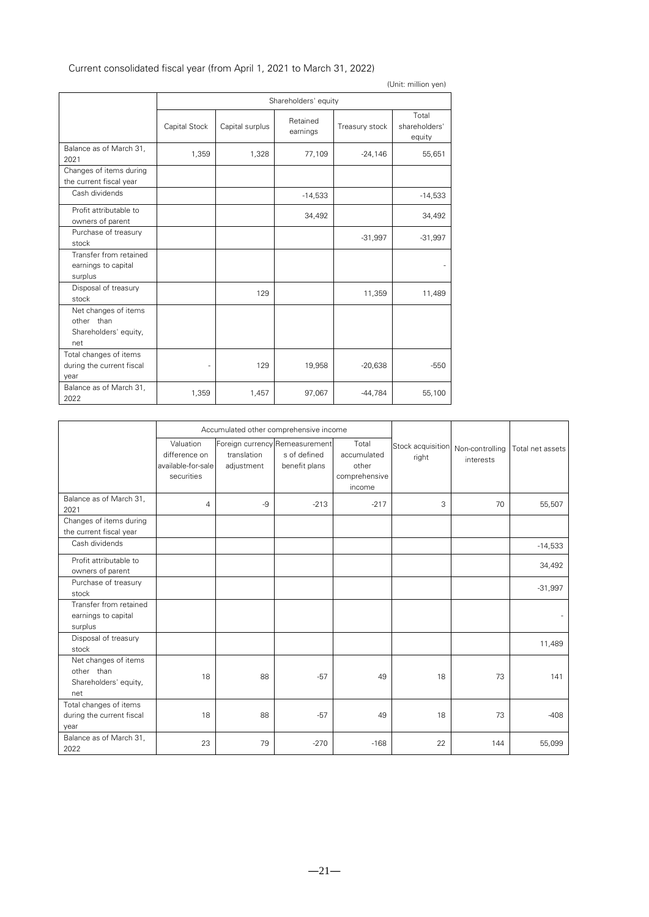| (Unit: million yen)                                                |               |                      |                      |                |                                  |  |  |
|--------------------------------------------------------------------|---------------|----------------------|----------------------|----------------|----------------------------------|--|--|
|                                                                    |               | Shareholders' equity |                      |                |                                  |  |  |
|                                                                    | Capital Stock | Capital surplus      | Retained<br>earnings | Treasury stock | Total<br>shareholders'<br>equity |  |  |
| Balance as of March 31,<br>2021                                    | 1,359         | 1,328                | 77,109               | $-24,146$      | 55,651                           |  |  |
| Changes of items during<br>the current fiscal year                 |               |                      |                      |                |                                  |  |  |
| Cash dividends                                                     |               |                      | $-14,533$            |                | $-14,533$                        |  |  |
| Profit attributable to<br>owners of parent                         |               |                      | 34,492               |                | 34,492                           |  |  |
| Purchase of treasury<br>stock                                      |               |                      |                      | $-31,997$      | $-31,997$                        |  |  |
| Transfer from retained<br>earnings to capital<br>surplus           |               |                      |                      |                |                                  |  |  |
| Disposal of treasury<br>stock                                      |               | 129                  |                      | 11,359         | 11,489                           |  |  |
| Net changes of items<br>other than<br>Shareholders' equity,<br>net |               |                      |                      |                |                                  |  |  |
| Total changes of items<br>during the current fiscal<br>year        |               | 129                  | 19,958               | $-20,638$      | $-550$                           |  |  |
| Balance as of March 31,<br>2022                                    | 1,359         | 1,457                | 97,067               | $-44,784$      | 55,100                           |  |  |

## Current consolidated fiscal year (from April 1, 2021 to March 31, 2022)

|                                                                    | Accumulated other comprehensive income                         |                           |                                                                 |                                                          |                            |                              |                  |
|--------------------------------------------------------------------|----------------------------------------------------------------|---------------------------|-----------------------------------------------------------------|----------------------------------------------------------|----------------------------|------------------------------|------------------|
|                                                                    | Valuation<br>difference on<br>available-for-sale<br>securities | translation<br>adjustment | Foreign currency Remeasurement<br>s of defined<br>benefit plans | Total<br>accumulated<br>other<br>comprehensive<br>income | Stock acquisition<br>right | Non-controlling<br>interests | Total net assets |
| Balance as of March 31,<br>2021                                    | $\overline{4}$                                                 | $-9$                      | $-213$                                                          | $-217$                                                   | 3                          | 70                           | 55,507           |
| Changes of items during<br>the current fiscal year                 |                                                                |                           |                                                                 |                                                          |                            |                              |                  |
| Cash dividends                                                     |                                                                |                           |                                                                 |                                                          |                            |                              | $-14,533$        |
| Profit attributable to<br>owners of parent                         |                                                                |                           |                                                                 |                                                          |                            |                              | 34,492           |
| Purchase of treasury<br>stock                                      |                                                                |                           |                                                                 |                                                          |                            |                              | $-31,997$        |
| Transfer from retained<br>earnings to capital<br>surplus           |                                                                |                           |                                                                 |                                                          |                            |                              |                  |
| Disposal of treasury<br>stock                                      |                                                                |                           |                                                                 |                                                          |                            |                              | 11,489           |
| Net changes of items<br>other than<br>Shareholders' equity,<br>net | 18                                                             | 88                        | $-57$                                                           | 49                                                       | 18                         | 73                           | 141              |
| Total changes of items<br>during the current fiscal<br>year        | 18                                                             | 88                        | $-57$                                                           | 49                                                       | 18                         | 73                           | $-408$           |
| Balance as of March 31,<br>2022                                    | 23                                                             | 79                        | $-270$                                                          | $-168$                                                   | 22                         | 144                          | 55,099           |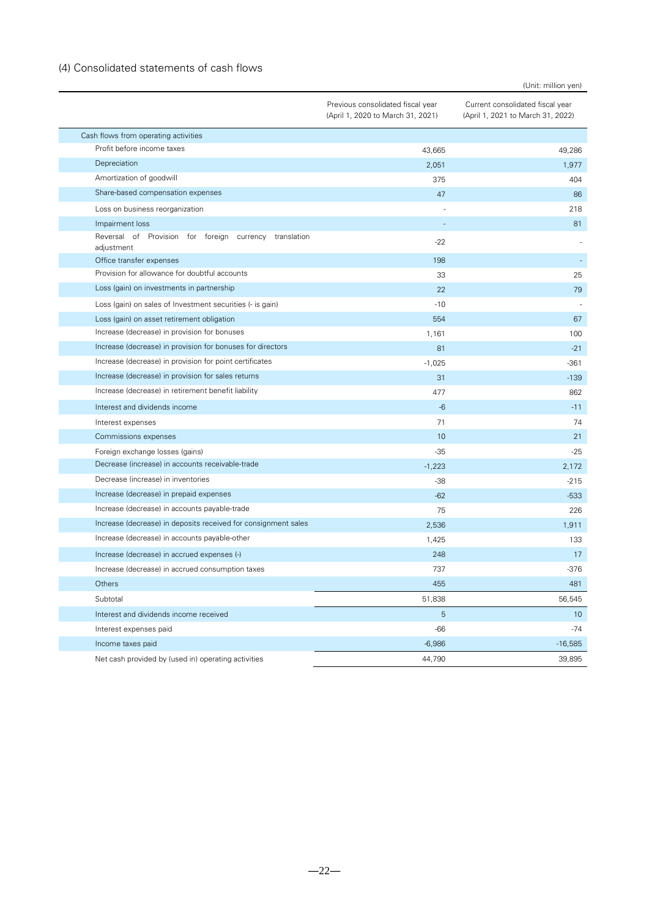## <span id="page-21-0"></span>(4) Consolidated statements of cash flows

|                                                                      | Previous consolidated fiscal year<br>(April 1, 2020 to March 31, 2021) | Current consolidated fiscal year<br>(April 1, 2021 to March 31, 2022) |
|----------------------------------------------------------------------|------------------------------------------------------------------------|-----------------------------------------------------------------------|
| Cash flows from operating activities                                 |                                                                        |                                                                       |
| Profit before income taxes                                           | 43,665                                                                 | 49,286                                                                |
| Depreciation                                                         | 2,051                                                                  | 1,977                                                                 |
| Amortization of goodwill                                             | 375                                                                    | 404                                                                   |
| Share-based compensation expenses                                    | 47                                                                     | 86                                                                    |
| Loss on business reorganization                                      |                                                                        | 218                                                                   |
| Impairment loss                                                      |                                                                        | 81                                                                    |
| Reversal of Provision for foreign currency translation<br>adjustment | $-22$                                                                  |                                                                       |
| Office transfer expenses                                             | 198                                                                    |                                                                       |
| Provision for allowance for doubtful accounts                        | 33                                                                     | 25                                                                    |
| Loss (gain) on investments in partnership                            | 22                                                                     | 79                                                                    |
| Loss (gain) on sales of Investment securities (- is gain)            | $-10$                                                                  |                                                                       |
| Loss (gain) on asset retirement obligation                           | 554                                                                    | 67                                                                    |
| Increase (decrease) in provision for bonuses                         | 1,161                                                                  | 100                                                                   |
| Increase (decrease) in provision for bonuses for directors           | 81                                                                     | $-21$                                                                 |
| Increase (decrease) in provision for point certificates              | $-1,025$                                                               | $-361$                                                                |
| Increase (decrease) in provision for sales returns                   | 31                                                                     | $-139$                                                                |
| Increase (decrease) in retirement benefit liability                  | 477                                                                    | 862                                                                   |
| Interest and dividends income                                        | $-6$                                                                   | $-11$                                                                 |
| Interest expenses                                                    | 71                                                                     | 74                                                                    |
| Commissions expenses                                                 | 10                                                                     | 21                                                                    |
| Foreign exchange losses (gains)                                      | $-35$                                                                  | $-25$                                                                 |
| Decrease (increase) in accounts receivable-trade                     | $-1,223$                                                               | 2,172                                                                 |
| Decrease (increase) in inventories                                   | $-38$                                                                  | $-215$                                                                |
| Increase (decrease) in prepaid expenses                              | $-62$                                                                  | $-533$                                                                |
| Increase (decrease) in accounts payable-trade                        | 75                                                                     | 226                                                                   |
| Increase (decrease) in deposits received for consignment sales       | 2,536                                                                  | 1,911                                                                 |
| Increase (decrease) in accounts payable-other                        | 1,425                                                                  | 133                                                                   |
| Increase (decrease) in accrued expenses (-)                          | 248                                                                    | 17                                                                    |
| Increase (decrease) in accrued consumption taxes                     | 737                                                                    | -376                                                                  |
| Others                                                               | 455                                                                    | 481                                                                   |
| Subtotal                                                             | 51,838                                                                 | 56,545                                                                |
| Interest and dividends income received                               | $\overline{5}$                                                         | 10                                                                    |
| Interest expenses paid                                               | $-66$                                                                  | $-74$                                                                 |
| Income taxes paid                                                    | $-6,986$                                                               | $-16,585$                                                             |
| Net cash provided by (used in) operating activities                  | 44,790                                                                 | 39,895                                                                |

(Unit: million yen)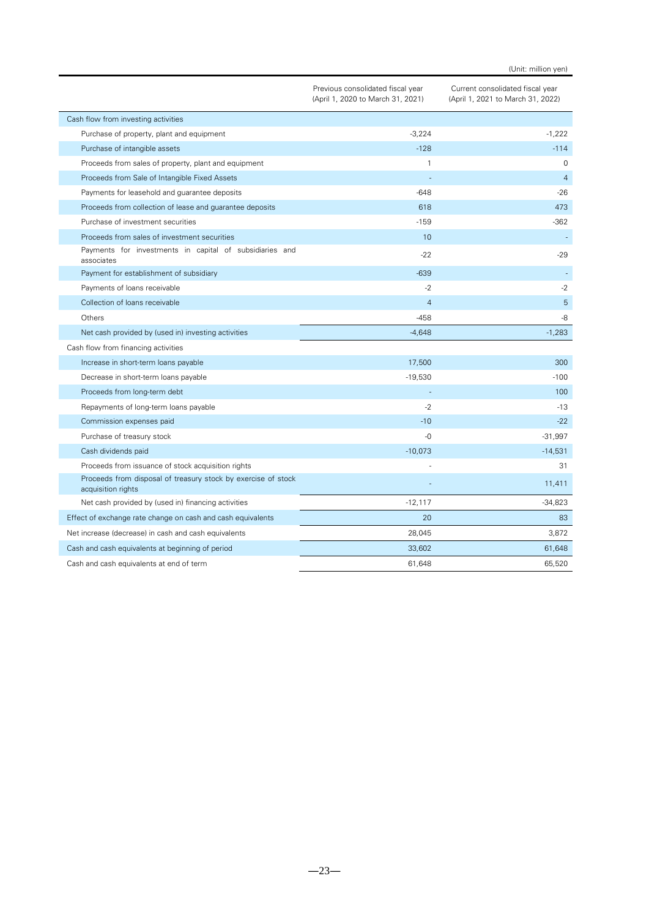(Unit: million yen)

|                                                                                     | Previous consolidated fiscal year<br>(April 1, 2020 to March 31, 2021) | Current consolidated fiscal year<br>(April 1, 2021 to March 31, 2022) |
|-------------------------------------------------------------------------------------|------------------------------------------------------------------------|-----------------------------------------------------------------------|
| Cash flow from investing activities                                                 |                                                                        |                                                                       |
| Purchase of property, plant and equipment                                           | $-3,224$                                                               | $-1,222$                                                              |
| Purchase of intangible assets                                                       | $-128$                                                                 | $-114$                                                                |
| Proceeds from sales of property, plant and equipment                                | $\mathbf{1}$                                                           | 0                                                                     |
| Proceeds from Sale of Intangible Fixed Assets                                       |                                                                        | $\overline{4}$                                                        |
| Payments for leasehold and guarantee deposits                                       | $-648$                                                                 | $-26$                                                                 |
| Proceeds from collection of lease and quarantee deposits                            | 618                                                                    | 473                                                                   |
| Purchase of investment securities                                                   | $-159$                                                                 | $-362$                                                                |
| Proceeds from sales of investment securities                                        | 10                                                                     |                                                                       |
| Payments for investments in capital of subsidiaries and<br>associates               | $-22$                                                                  | $-29$                                                                 |
| Payment for establishment of subsidiary                                             | $-639$                                                                 |                                                                       |
| Payments of loans receivable                                                        | $-2$                                                                   | $-2$                                                                  |
| Collection of loans receivable                                                      | $\overline{4}$                                                         | 5                                                                     |
| Others                                                                              | -458                                                                   | -8                                                                    |
| Net cash provided by (used in) investing activities                                 | $-4,648$                                                               | $-1,283$                                                              |
| Cash flow from financing activities                                                 |                                                                        |                                                                       |
| Increase in short-term loans payable                                                | 17,500                                                                 | 300                                                                   |
| Decrease in short-term loans payable                                                | $-19,530$                                                              | $-100$                                                                |
| Proceeds from long-term debt                                                        |                                                                        | 100                                                                   |
| Repayments of long-term loans payable                                               | $-2$                                                                   | $-13$                                                                 |
| Commission expenses paid                                                            | $-10$                                                                  | $-22$                                                                 |
| Purchase of treasury stock                                                          | -0                                                                     | $-31,997$                                                             |
| Cash dividends paid                                                                 | $-10,073$                                                              | $-14,531$                                                             |
| Proceeds from issuance of stock acquisition rights                                  |                                                                        | 31                                                                    |
| Proceeds from disposal of treasury stock by exercise of stock<br>acquisition rights |                                                                        | 11,411                                                                |
| Net cash provided by (used in) financing activities                                 | $-12,117$                                                              | $-34,823$                                                             |
| Effect of exchange rate change on cash and cash equivalents                         | 20                                                                     | 83                                                                    |
| Net increase (decrease) in cash and cash equivalents                                | 28,045                                                                 | 3,872                                                                 |
| Cash and cash equivalents at beginning of period                                    | 33,602                                                                 | 61,648                                                                |
| Cash and cash equivalents at end of term                                            | 61,648                                                                 | 65,520                                                                |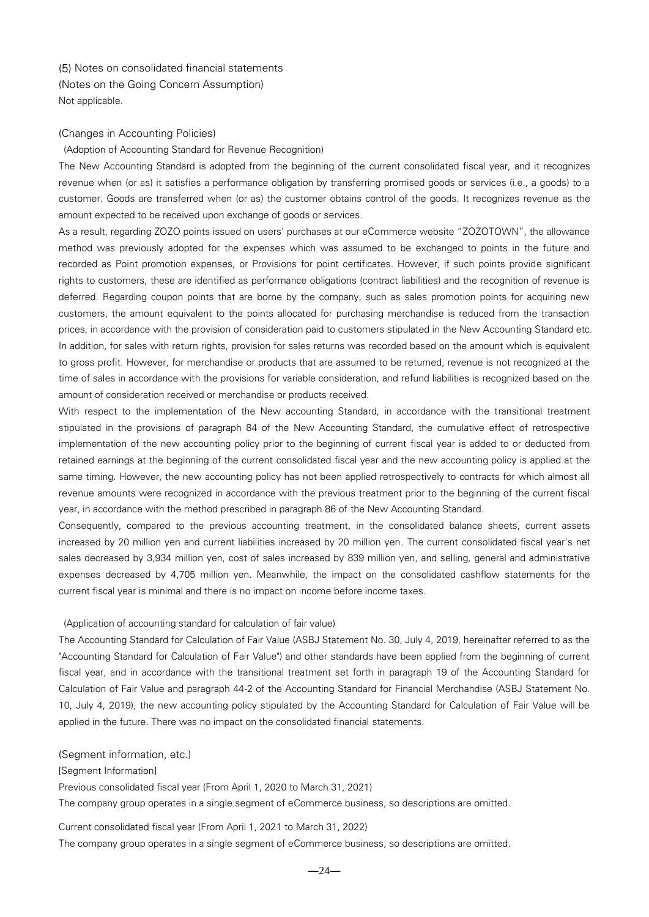<span id="page-23-1"></span><span id="page-23-0"></span>(5) Notes on consolidated financial statements (Notes on the Going Concern Assumption) Not applicable.

#### <span id="page-23-2"></span>(Changes in Accounting Policies)

(Adoption of Accounting Standard for Revenue Recognition)

The New Accounting Standard is adopted from the beginning of the current consolidated fiscal year, and it recognizes revenue when (or as) it satisfies a performance obligation by transferring promised goods or services (i.e., a goods) to a customer. Goods are transferred when (or as) the customer obtains control of the goods. It recognizes revenue as the amount expected to be received upon exchange of goods or services.

As a result, regarding ZOZO points issued on users' purchases at our eCommerce website "ZOZOTOWN", the allowance method was previously adopted for the expenses which was assumed to be exchanged to points in the future and recorded as Point promotion expenses, or Provisions for point certificates. However, if such points provide significant rights to customers, these are identified as performance obligations (contract liabilities) and the recognition of revenue is deferred. Regarding coupon points that are borne by the company, such as sales promotion points for acquiring new customers, the amount equivalent to the points allocated for purchasing merchandise is reduced from the transaction prices, in accordance with the provision of consideration paid to customers stipulated in the New Accounting Standard etc. In addition, for sales with return rights, provision for sales returns was recorded based on the amount which is equivalent to gross profit. However, for merchandise or products that are assumed to be returned, revenue is not recognized at the time of sales in accordance with the provisions for variable consideration, and refund liabilities is recognized based on the amount of consideration received or merchandise or products received.

With respect to the implementation of the New accounting Standard, in accordance with the transitional treatment stipulated in the provisions of paragraph 84 of the New Accounting Standard, the cumulative effect of retrospective implementation of the new accounting policy prior to the beginning of current fiscal year is added to or deducted from retained earnings at the beginning of the current consolidated fiscal year and the new accounting policy is applied at the same timing. However, the new accounting policy has not been applied retrospectively to contracts for which almost all revenue amounts were recognized in accordance with the previous treatment prior to the beginning of the current fiscal year, in accordance with the method prescribed in paragraph 86 of the New Accounting Standard.

Consequently, compared to the previous accounting treatment, in the consolidated balance sheets, current assets increased by 20 million yen and current liabilities increased by 20 million yen. The current consolidated fiscal year's net sales decreased by 3,934 million yen, cost of sales increased by 839 million yen, and selling, general and administrative expenses decreased by 4,705 million yen. Meanwhile, the impact on the consolidated cashflow statements for the current fiscal year is minimal and there is no impact on income before income taxes.

#### (Application of accounting standard for calculation of fair value)

The Accounting Standard for Calculation of Fair Value (ASBJ Statement No. 30, July 4, 2019, hereinafter referred to as the "Accounting Standard for Calculation of Fair Value") and other standards have been applied from the beginning of current fiscal year, and in accordance with the transitional treatment set forth in paragraph 19 of the Accounting Standard for Calculation of Fair Value and paragraph 44-2 of the Accounting Standard for Financial Merchandise (ASBJ Statement No. 10, July 4, 2019), the new accounting policy stipulated by the Accounting Standard for Calculation of Fair Value will be applied in the future. There was no impact on the consolidated financial statements.

<span id="page-23-3"></span>(Segment information, etc.)

[Segment Information]

Previous consolidated fiscal year (From April 1, 2020 to March 31, 2021)

The company group operates in a single segment of eCommerce business, so descriptions are omitted.

Current consolidated fiscal year (From April 1, 2021 to March 31, 2022)

The company group operates in a single segment of eCommerce business, so descriptions are omitted.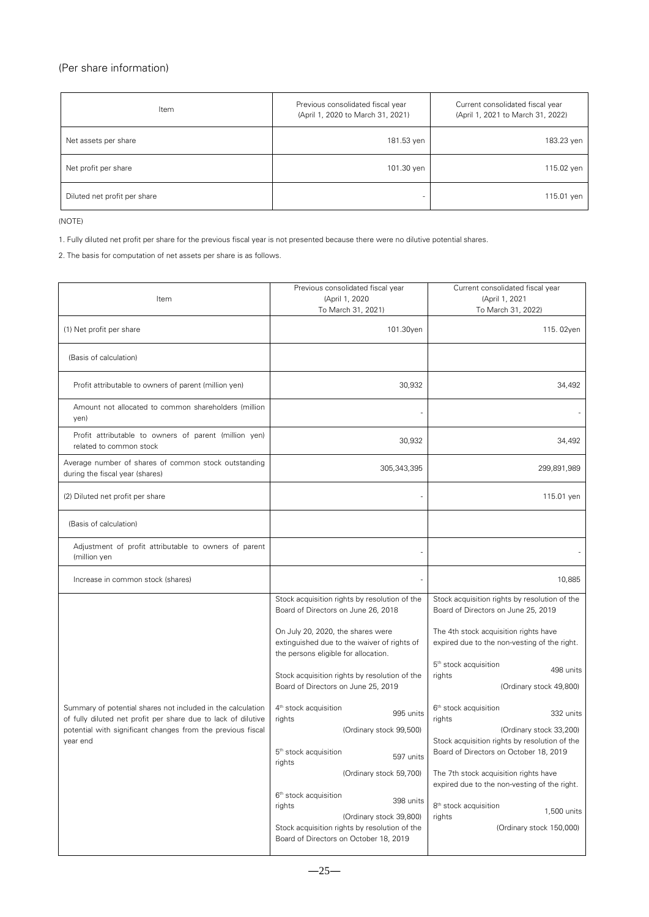## <span id="page-24-0"></span>(Per share information)

| Item                         | Previous consolidated fiscal year<br>(April 1, 2020 to March 31, 2021) | Current consolidated fiscal year<br>(April 1, 2021 to March 31, 2022) |
|------------------------------|------------------------------------------------------------------------|-----------------------------------------------------------------------|
| Net assets per share         | 181.53 yen                                                             | 183.23 yen                                                            |
| Net profit per share         | 101.30 yen                                                             | 115.02 yen                                                            |
| Diluted net profit per share |                                                                        | 115.01 yen                                                            |

(NOTE)

1. Fully diluted net profit per share for the previous fiscal year is not presented because there were no dilutive potential shares.

2. The basis for computation of net assets per share is as follows.

| Item                                                                                                                                                                                        | Previous consolidated fiscal year<br>(April 1, 2020<br>To March 31, 2021)                                                                                                                                                                                                                                                                                                                       | Current consolidated fiscal year<br>(April 1, 2021<br>To March 31, 2022)                                                                                                                                                                                                                                                                                    |
|---------------------------------------------------------------------------------------------------------------------------------------------------------------------------------------------|-------------------------------------------------------------------------------------------------------------------------------------------------------------------------------------------------------------------------------------------------------------------------------------------------------------------------------------------------------------------------------------------------|-------------------------------------------------------------------------------------------------------------------------------------------------------------------------------------------------------------------------------------------------------------------------------------------------------------------------------------------------------------|
| (1) Net profit per share                                                                                                                                                                    | 101.30yen                                                                                                                                                                                                                                                                                                                                                                                       | 115.02yen                                                                                                                                                                                                                                                                                                                                                   |
| (Basis of calculation)                                                                                                                                                                      |                                                                                                                                                                                                                                                                                                                                                                                                 |                                                                                                                                                                                                                                                                                                                                                             |
| Profit attributable to owners of parent (million yen)                                                                                                                                       | 30,932                                                                                                                                                                                                                                                                                                                                                                                          | 34,492                                                                                                                                                                                                                                                                                                                                                      |
| Amount not allocated to common shareholders (million<br>yen)                                                                                                                                |                                                                                                                                                                                                                                                                                                                                                                                                 |                                                                                                                                                                                                                                                                                                                                                             |
| Profit attributable to owners of parent (million yen)<br>related to common stock                                                                                                            | 30,932                                                                                                                                                                                                                                                                                                                                                                                          | 34,492                                                                                                                                                                                                                                                                                                                                                      |
| Average number of shares of common stock outstanding<br>during the fiscal year (shares)                                                                                                     | 305,343,395                                                                                                                                                                                                                                                                                                                                                                                     | 299,891,989                                                                                                                                                                                                                                                                                                                                                 |
| (2) Diluted net profit per share                                                                                                                                                            |                                                                                                                                                                                                                                                                                                                                                                                                 | 115.01 yen                                                                                                                                                                                                                                                                                                                                                  |
| (Basis of calculation)                                                                                                                                                                      |                                                                                                                                                                                                                                                                                                                                                                                                 |                                                                                                                                                                                                                                                                                                                                                             |
| Adjustment of profit attributable to owners of parent<br>(million yen                                                                                                                       |                                                                                                                                                                                                                                                                                                                                                                                                 |                                                                                                                                                                                                                                                                                                                                                             |
| Increase in common stock (shares)                                                                                                                                                           |                                                                                                                                                                                                                                                                                                                                                                                                 | 10,885                                                                                                                                                                                                                                                                                                                                                      |
| Summary of potential shares not included in the calculation<br>of fully diluted net profit per share due to lack of dilutive<br>potential with significant changes from the previous fiscal | Stock acquisition rights by resolution of the<br>Board of Directors on June 26, 2018<br>On July 20, 2020, the shares were<br>extinguished due to the waiver of rights of<br>the persons eligible for allocation.<br>Stock acquisition rights by resolution of the<br>Board of Directors on June 25, 2019<br>4 <sup>th</sup> stock acquisition<br>995 units<br>rights<br>(Ordinary stock 99,500) | Stock acquisition rights by resolution of the<br>Board of Directors on June 25, 2019<br>The 4th stock acquisition rights have<br>expired due to the non-vesting of the right.<br>5 <sup>th</sup> stock acquisition<br>498 units<br>rights<br>(Ordinary stock 49,800)<br>6 <sup>th</sup> stock acquisition<br>332 units<br>rights<br>(Ordinary stock 33,200) |
| year end                                                                                                                                                                                    | 5 <sup>th</sup> stock acquisition<br>597 units<br>rights<br>(Ordinary stock 59,700)<br>6 <sup>th</sup> stock acquisition<br>398 units<br>rights<br>(Ordinary stock 39,800)<br>Stock acquisition rights by resolution of the<br>Board of Directors on October 18, 2019                                                                                                                           | Stock acquisition rights by resolution of the<br>Board of Directors on October 18, 2019<br>The 7th stock acquisition rights have<br>expired due to the non-vesting of the right.<br>8 <sup>th</sup> stock acquisition<br>1,500 units<br>rights<br>(Ordinary stock 150,000)                                                                                  |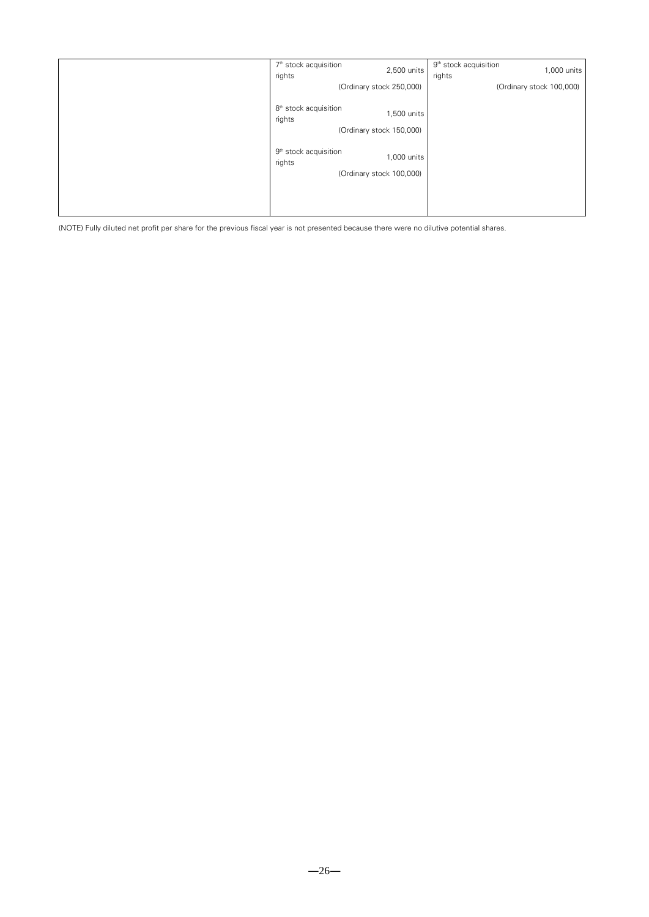| 7 <sup>th</sup> stock acquisition<br>rights | 2,500 units                             | 9 <sup>th</sup> stock acquisition<br>,000 units<br>rights |
|---------------------------------------------|-----------------------------------------|-----------------------------------------------------------|
|                                             | (Ordinary stock 250,000)                | (Ordinary stock 100,000)                                  |
| 8 <sup>th</sup> stock acquisition<br>rights | 1,500 units<br>(Ordinary stock 150,000) |                                                           |
| 9 <sup>th</sup> stock acquisition<br>rights | 1,000 units<br>(Ordinary stock 100,000) |                                                           |
|                                             |                                         |                                                           |

(NOTE) Fully diluted net profit per share for the previous fiscal year is not presented because there were no dilutive potential shares.